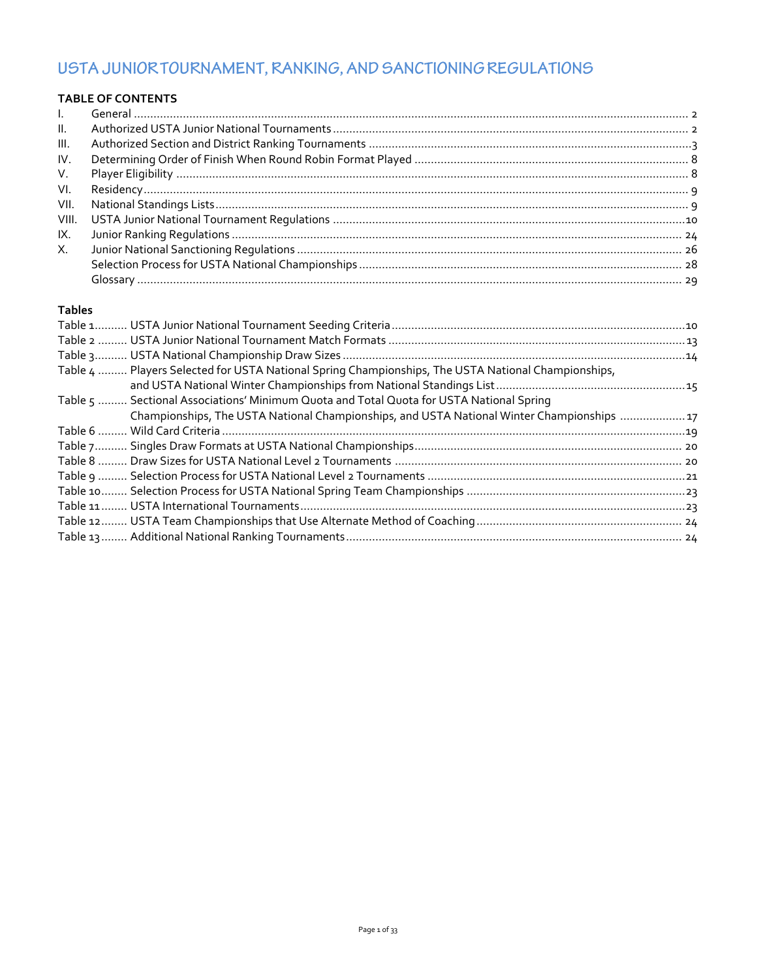# USTA JUNIOR TOURNAMENT, RANKING, AND SANCTIONING REGULATIONS

# **TABLE OF CONTENTS**

| $\mathbf{L}$    |  |
|-----------------|--|
| $\mathbf{II}$ . |  |
| III.            |  |
| IV.             |  |
| V.              |  |
| VI.             |  |
| VII.            |  |
| VIII.           |  |
| IX.             |  |
| X.              |  |
|                 |  |
|                 |  |

# **Tables**

| Table 4  Players Selected for USTA National Spring Championships, The USTA National Championships, |  |
|----------------------------------------------------------------------------------------------------|--|
|                                                                                                    |  |
| Table 5  Sectional Associations' Minimum Quota and Total Quota for USTA National Spring            |  |
| Championships, The USTA National Championships, and USTA National Winter Championships 17          |  |
|                                                                                                    |  |
|                                                                                                    |  |
| Table 8                                                                                            |  |
|                                                                                                    |  |
|                                                                                                    |  |
|                                                                                                    |  |
|                                                                                                    |  |
|                                                                                                    |  |
|                                                                                                    |  |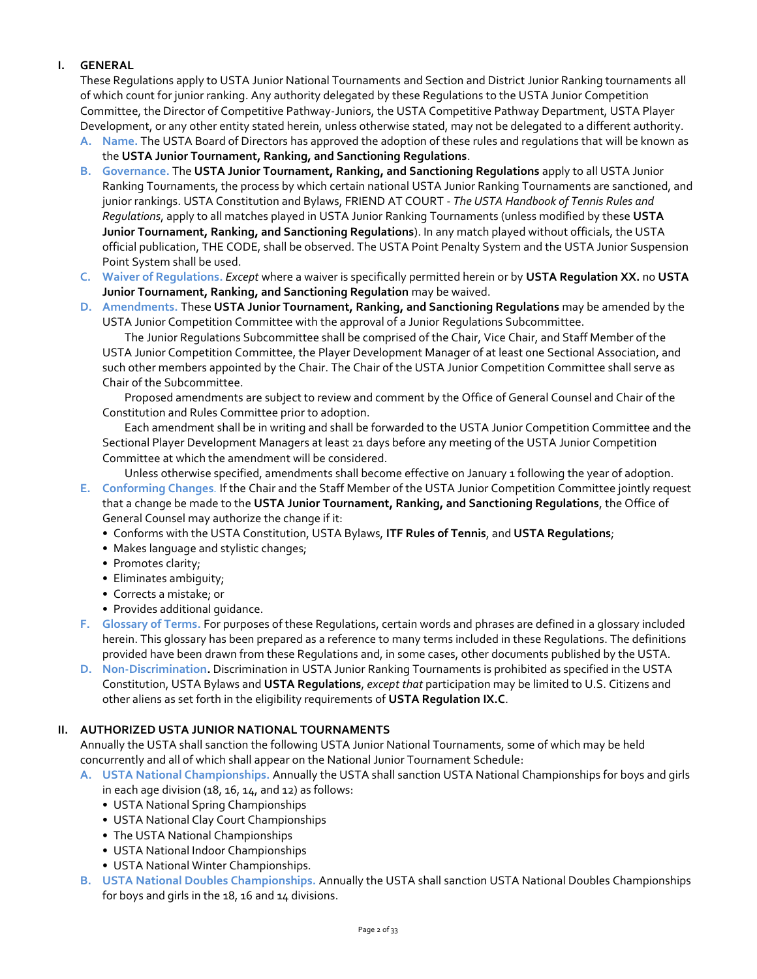# **I. GENERAL**

These Regulations apply to USTA Junior National Tournaments and Section and District Junior Ranking tournaments all of which count for junior ranking. Any authority delegated by these Regulations to the USTA Junior Competition Committee, the Director of Competitive Pathway-Juniors, the USTA Competitive Pathway Department, USTA Player Development, or any other entity stated herein, unless otherwise stated, may not be delegated to a different authority.

- **A. Name.** The USTA Board of Directors has approved the adoption of these rules and regulations that will be known as the **USTA Junior Tournament, Ranking, and Sanctioning Regulations**.
- **B. Governance.** The **USTA Junior Tournament, Ranking, and Sanctioning Regulations** apply to all USTA Junior Ranking Tournaments, the process by which certain national USTA Junior Ranking Tournaments are sanctioned, and junior rankings. USTA Constitution and Bylaws, FRIEND AT COURT - *The USTA Handbook of Tennis Rules and Regulations*, apply to all matches played in USTA Junior Ranking Tournaments (unless modified by these **USTA Junior Tournament, Ranking, and Sanctioning Regulations**). In any match played without officials, the USTA official publication, THE CODE, shall be observed. The USTA Point Penalty System and the USTA Junior Suspension Point System shall be used.
- **C. Waiver of Regulations.** *Except* where a waiver is specifically permitted herein or by **USTA Regulation XX.** no **USTA Junior Tournament, Ranking, and Sanctioning Regulation** may be waived.
- **D. Amendments.** These **USTA Junior Tournament, Ranking, and Sanctioning Regulations** may be amended by the USTA Junior Competition Committee with the approval of a Junior Regulations Subcommittee.

The Junior Regulations Subcommittee shall be comprised of the Chair, Vice Chair, and Staff Member of the USTA Junior Competition Committee, the Player Development Manager of at least one Sectional Association, and such other members appointed by the Chair. The Chair of the USTA Junior Competition Committee shall serve as Chair of the Subcommittee.

Proposed amendments are subject to review and comment by the Office of General Counsel and Chair of the Constitution and Rules Committee prior to adoption.

Each amendment shall be in writing and shall be forwarded to the USTA Junior Competition Committee and the Sectional Player Development Managers at least 21 days before any meeting of the USTA Junior Competition Committee at which the amendment will be considered.

Unless otherwise specified, amendments shall become effective on January 1 following the year of adoption. **E. Conforming Changes***.* If the Chair and the Staff Member of the USTA Junior Competition Committee jointly request

- that a change be made to the **USTA Junior Tournament, Ranking, and Sanctioning Regulations**, the Office of General Counsel may authorize the change if it:
	- Conforms with the USTA Constitution, USTA Bylaws, **ITF Rules of Tennis**, and **USTA Regulations**;
	- Makes language and stylistic changes;
	- Promotes clarity;
	- Eliminates ambiguity;
	- Corrects a mistake; or
	- Provides additional guidance.
- **F. Glossary of Terms.** For purposes of these Regulations, certain words and phrases are defined in a glossary included herein. This glossary has been prepared as a reference to many terms included in these Regulations. The definitions provided have been drawn from these Regulations and, in some cases, other documents published by the USTA.
- **D. Non-Discrimination.** Discrimination in USTA Junior Ranking Tournaments is prohibited as specified in the USTA Constitution, USTA Bylaws and **USTA Regulations**, *except that* participation may be limited to U.S. Citizens and other aliens as set forth in the eligibility requirements of **USTA Regulation IX.C**.

# **II. AUTHORIZED USTA JUNIOR NATIONAL TOURNAMENTS**

Annually the USTA shall sanction the following USTA Junior National Tournaments, some of which may be held concurrently and all of which shall appear on the National Junior Tournament Schedule:

- **A. USTA National Championships.** Annually the USTA shall sanction USTA National Championships for boys and girls in each age division  $(18, 16, 14,$  and 12) as follows:
	- USTA National Spring Championships
	- USTA National Clay Court Championships
	- The USTA National Championships
	- USTA National Indoor Championships
	- USTA National Winter Championships.
- **B. USTA National Doubles Championships.** Annually the USTA shall sanction USTA National Doubles Championships for boys and girls in the 18, 16 and 14 divisions.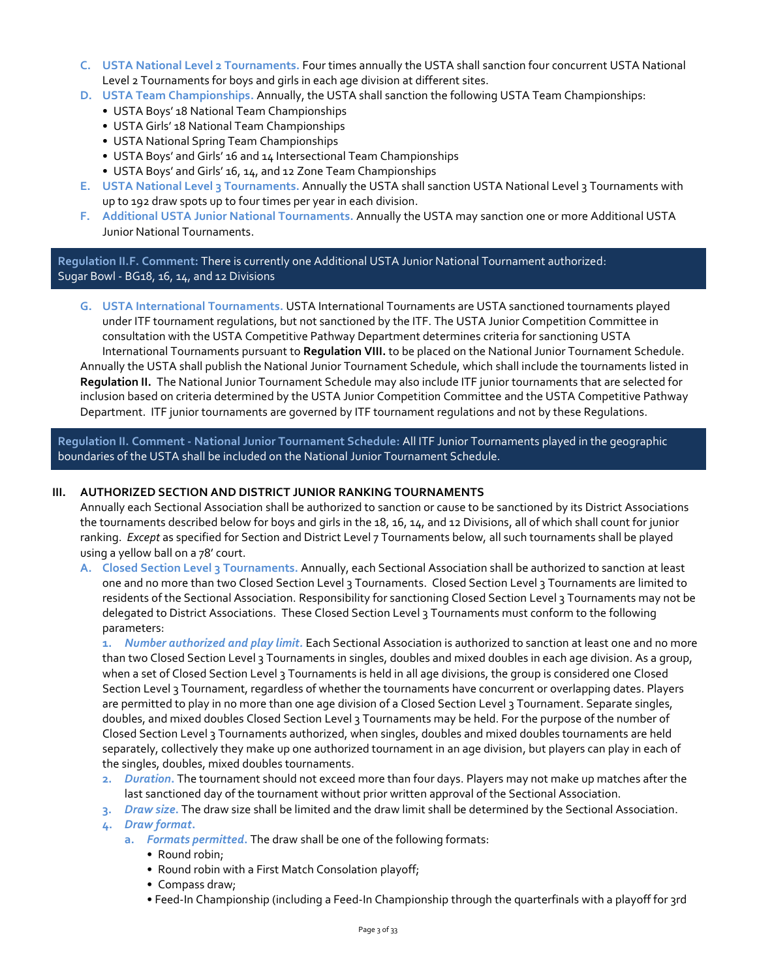- **C. USTA National Level 2 Tournaments.** Four times annually the USTA shall sanction four concurrent USTA National Level 2 Tournaments for boys and girls in each age division at different sites.
- **D. USTA Team Championships.** Annually, the USTA shall sanction the following USTA Team Championships:
	- USTA Boys' 18 National Team Championships
	- USTA Girls' 18 National Team Championships
	- USTA National Spring Team Championships
	- USTA Boys' and Girls' 16 and 14 Intersectional Team Championships
	- USTA Boys' and Girls' 16, 14, and 12 Zone Team Championships
- **E. USTA National Level 3 Tournaments.** Annually the USTA shall sanction USTA National Level 3 Tournaments with up to 192 draw spots up to four times per year in each division.
- **F. Additional USTA Junior National Tournaments.** Annually the USTA may sanction one or more Additional USTA Junior National Tournaments.

# **Regulation II.F. Comment:** There is currently one Additional USTA Junior National Tournament authorized: Sugar Bowl - BG18, 16, 14, and 12 Divisions

**G. USTA International Tournaments.** USTA International Tournaments are USTA sanctioned tournaments played under ITF tournament regulations, but not sanctioned by the ITF. The USTA Junior Competition Committee in consultation with the USTA Competitive Pathway Department determines criteria for sanctioning USTA International Tournaments pursuant to **Regulation VIII.** to be placed on the National Junior Tournament Schedule. Annually the USTA shall publish the National Junior Tournament Schedule, which shall include the tournaments listed in **Regulation II.** The National Junior Tournament Schedule may also include ITF junior tournaments that are selected for inclusion based on criteria determined by the USTA Junior Competition Committee and the USTA Competitive Pathway Department. ITF junior tournaments are governed by ITF tournament regulations and not by these Regulations.

**Regulation II. Comment - National Junior Tournament Schedule:** All ITF Junior Tournaments played in the geographic boundaries of the USTA shall be included on the National Junior Tournament Schedule.

#### **III. AUTHORIZED SECTION AND DISTRICT JUNIOR RANKING TOURNAMENTS**

Annually each Sectional Association shall be authorized to sanction or cause to be sanctioned by its District Associations the tournaments described below for boys and girls in the 18, 16, 14, and 12 Divisions, all of which shall count for junior ranking. *Except* as specified for Section and District Level 7 Tournaments below, all such tournaments shall be played using a yellow ball on a 78' court.

**A. Closed Section Level 3 Tournaments.** Annually, each Sectional Association shall be authorized to sanction at least one and no more than two Closed Section Level 3 Tournaments. Closed Section Level 3 Tournaments are limited to residents of the Sectional Association. Responsibility for sanctioning Closed Section Level 3 Tournaments may not be delegated to District Associations. These Closed Section Level 3 Tournaments must conform to the following parameters:

**1.** *Number authorized and play limit.* Each Sectional Association is authorized to sanction at least one and no more than two Closed Section Level 3 Tournaments in singles, doubles and mixed doubles in each age division. As a group, when a set of Closed Section Level 3 Tournaments is held in all age divisions, the group is considered one Closed Section Level 3 Tournament, regardless of whether the tournaments have concurrent or overlapping dates. Players are permitted to play in no more than one age division of a Closed Section Level 3 Tournament. Separate singles, doubles, and mixed doubles Closed Section Level 3 Tournaments may be held. For the purpose of the number of Closed Section Level 3 Tournaments authorized, when singles, doubles and mixed doubles tournaments are held separately, collectively they make up one authorized tournament in an age division, but players can play in each of the singles, doubles, mixed doubles tournaments.

- **2.** *Duration***.** The tournament should not exceed more than four days. Players may not make up matches after the last sanctioned day of the tournament without prior written approval of the Sectional Association.
- **3.** *Draw size***.** The draw size shall be limited and the draw limit shall be determined by the Sectional Association.

**4.** *Draw format***.** 

- **a.** *Formats permitted***.** The draw shall be one of the following formats:
	- Round robin;
	- Round robin with a First Match Consolation playoff;
	- Compass draw;
	- Feed-In Championship (including a Feed-In Championship through the quarterfinals with a playoff for 3rd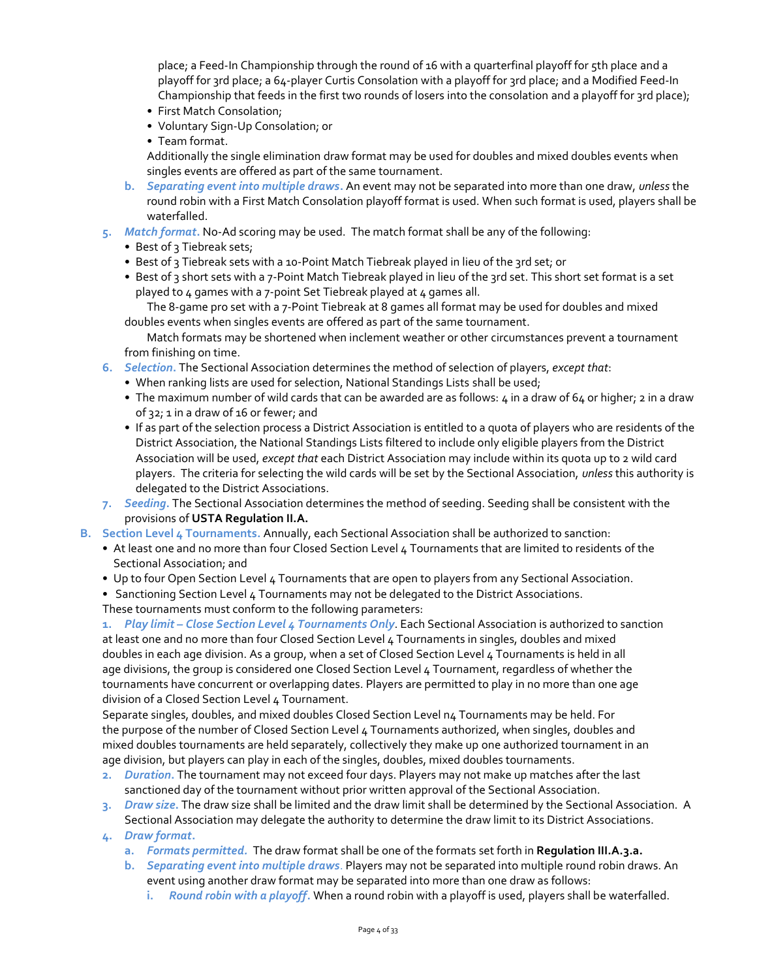place; a Feed-In Championship through the round of 16 with a quarterfinal playoff for 5th place and a playoff for 3rd place; a 64-player Curtis Consolation with a playoff for 3rd place; and a Modified Feed-In Championship that feeds in the first two rounds of losers into the consolation and a playoff for 3rd place);

- First Match Consolation;
- Voluntary Sign-Up Consolation; or
- Team format.

Additionally the single elimination draw format may be used for doubles and mixed doubles events when singles events are offered as part of the same tournament.

- **b.** *Separating event into multiple draws***.** An event may not be separated into more than one draw, *unless* the round robin with a First Match Consolation playoff format is used. When such format is used, players shall be waterfalled.
- **5.** *Match format***.** No-Ad scoring may be used. The match format shall be any of the following:
	- Best of 3 Tiebreak sets;
	- Best of 3 Tiebreak sets with a 10-Point Match Tiebreak played in lieu of the 3rd set; or
	- Best of 3 short sets with a 7-Point Match Tiebreak played in lieu of the 3rd set. This short set format is a set played to 4 games with a 7-point Set Tiebreak played at 4 games all.

The 8-game pro set with a 7-Point Tiebreak at 8 games all format may be used for doubles and mixed doubles events when singles events are offered as part of the same tournament.

Match formats may be shortened when inclement weather or other circumstances prevent a tournament from finishing on time.

- **6.** *Selection***.** The Sectional Association determines the method of selection of players, *except that*:
	- When ranking lists are used for selection, National Standings Lists shall be used;
	- The maximum number of wild cards that can be awarded are as follows:  $\mu$  in a draw of 6 $\mu$  or higher; 2 in a draw of 32; 1 in a draw of 16 or fewer; and
	- If as part of the selection process a District Association is entitled to a quota of players who are residents of the District Association, the National Standings Lists filtered to include only eligible players from the District Association will be used, *except that* each District Association may include within its quota up to 2 wild card players. The criteria for selecting the wild cards will be set by the Sectional Association, *unless* this authority is delegated to the District Associations.
- **7.** *Seeding***.** The Sectional Association determines the method of seeding. Seeding shall be consistent with the provisions of **USTA Regulation II.A.**
- **B. Section Level 4 Tournaments.** Annually, each Sectional Association shall be authorized to sanction:
	- At least one and no more than four Closed Section Level 4 Tournaments that are limited to residents of the Sectional Association; and
	- Up to four Open Section Level 4 Tournaments that are open to players from any Sectional Association.
	- Sanctioning Section Level 4 Tournaments may not be delegated to the District Associations.
	- These tournaments must conform to the following parameters:

**1.** *Play limit – Close Section Level 4 Tournaments Only*. Each Sectional Association is authorized to sanction at least one and no more than four Closed Section Level 4 Tournaments in singles, doubles and mixed doubles in each age division. As a group, when a set of Closed Section Level 4 Tournaments is held in all age divisions, the group is considered one Closed Section Level 4 Tournament, regardless of whether the tournaments have concurrent or overlapping dates. Players are permitted to play in no more than one age division of a Closed Section Level 4 Tournament.

Separate singles, doubles, and mixed doubles Closed Section Level n4 Tournaments may be held. For the purpose of the number of Closed Section Level 4 Tournaments authorized, when singles, doubles and mixed doubles tournaments are held separately, collectively they make up one authorized tournament in an age division, but players can play in each of the singles, doubles, mixed doubles tournaments.

- **2.** *Duration***.** The tournament may not exceed four days. Players may not make up matches after the last sanctioned day of the tournament without prior written approval of the Sectional Association.
- **3.** *Draw size***.** The draw size shall be limited and the draw limit shall be determined by the Sectional Association. A Sectional Association may delegate the authority to determine the draw limit to its District Associations.
- **4.** *Draw format***.**
	- **a.** *Formats permitted.* The draw format shall be one of the formats set forth in **Regulation III.A.3.a.**
	- **b.** *Separating event into multiple draws*. Players may not be separated into multiple round robin draws. An event using another draw format may be separated into more than one draw as follows:
		- **i.** *Round robin with a playoff***.** When a round robin with a playoff is used, players shall be waterfalled.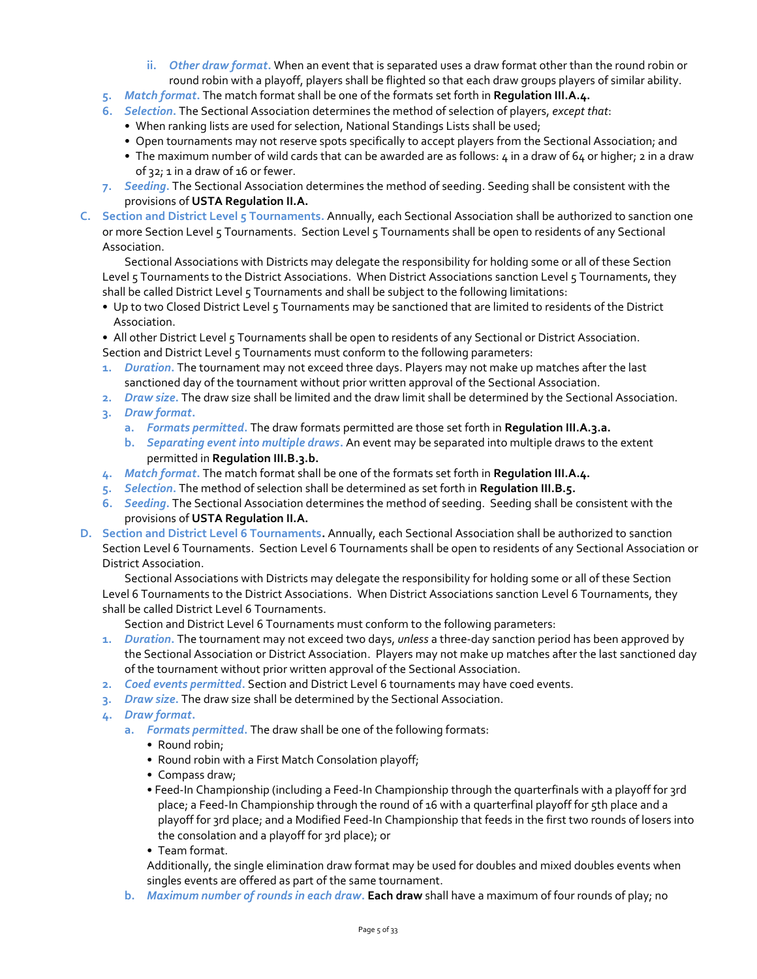- **ii.** *Other draw format***.** When an event that is separated uses a draw format other than the round robin or round robin with a playoff, players shall be flighted so that each draw groups players of similar ability.
- **5.** *Match format***.** The match format shall be one of the formats set forth in **Regulation III.A.4.**
- **6.** *Selection***.** The Sectional Association determines the method of selection of players, *except that*:
	- When ranking lists are used for selection, National Standings Lists shall be used;
	- Open tournaments may not reserve spots specifically to accept players from the Sectional Association; and
	- The maximum number of wild cards that can be awarded are as follows:  $4$  in a draw of 6 $4$  or higher; 2 in a draw of 32; 1 in a draw of 16 or fewer.
- **7.** *Seeding***.** The Sectional Association determines the method of seeding. Seeding shall be consistent with the provisions of **USTA Regulation II.A.**
- **C. Section and District Level 5 Tournaments.** Annually, each Sectional Association shall be authorized to sanction one or more Section Level 5 Tournaments. Section Level 5 Tournaments shall be open to residents of any Sectional Association.

Sectional Associations with Districts may delegate the responsibility for holding some or all of these Section Level 5 Tournaments to the District Associations. When District Associations sanction Level 5 Tournaments, they shall be called District Level 5 Tournaments and shall be subject to the following limitations:

- Up to two Closed District Level 5 Tournaments may be sanctioned that are limited to residents of the District Association.
- All other District Level 5 Tournaments shall be open to residents of any Sectional or District Association.

Section and District Level 5 Tournaments must conform to the following parameters:

- **1.** *Duration***.** The tournament may not exceed three days. Players may not make up matches after the last sanctioned day of the tournament without prior written approval of the Sectional Association.
- **2.** *Draw size***.** The draw size shall be limited and the draw limit shall be determined by the Sectional Association.
- **3.** *Draw format***.**
	- **a.** *Formats permitted***.** The draw formats permitted are those set forth in **Regulation III.A.3.a.**
	- **b.** *Separating event into multiple draws***.** An event may be separated into multiple draws to the extent permitted in **Regulation III.B.3.b.**
- **4.** *Match format***.** The match format shall be one of the formats set forth in **Regulation III.A.4.**
- **5.** *Selection***.** The method of selection shall be determined as set forth in **Regulation III.B.5.**
- **6.** *Seeding***.** The Sectional Association determines the method of seeding. Seeding shall be consistent with the provisions of **USTA Regulation II.A.**
- **D. Section and District Level 6 Tournaments.** Annually, each Sectional Association shall be authorized to sanction Section Level 6 Tournaments. Section Level 6 Tournaments shall be open to residents of any Sectional Association or District Association.

Sectional Associations with Districts may delegate the responsibility for holding some or all of these Section Level 6 Tournaments to the District Associations. When District Associations sanction Level 6 Tournaments, they shall be called District Level 6 Tournaments.

Section and District Level 6 Tournaments must conform to the following parameters:

- **1.** *Duration***.** The tournament may not exceed two days, *unless* a three-day sanction period has been approved by the Sectional Association or District Association. Players may not make up matches after the last sanctioned day of the tournament without prior written approval of the Sectional Association.
- **2.** *Coed events permitted***.** Section and District Level 6 tournaments may have coed events.
- **3.** *Draw size***.** The draw size shall be determined by the Sectional Association.
- **4.** *Draw format***.**
	- **a.** *Formats permitted***.** The draw shall be one of the following formats:
		- Round robin;
		- Round robin with a First Match Consolation playoff;
		- Compass draw;
		- Feed-In Championship (including a Feed-In Championship through the quarterfinals with a playoff for 3rd place; a Feed-In Championship through the round of 16 with a quarterfinal playoff for 5th place and a playoff for 3rd place; and a Modified Feed-In Championship that feeds in the first two rounds of losers into the consolation and a playoff for 3rd place); or
		- Team format.

Additionally, the single elimination draw format may be used for doubles and mixed doubles events when singles events are offered as part of the same tournament.

**b.** *Maximum number of rounds in each draw***. Each draw** shall have a maximum of four rounds of play; no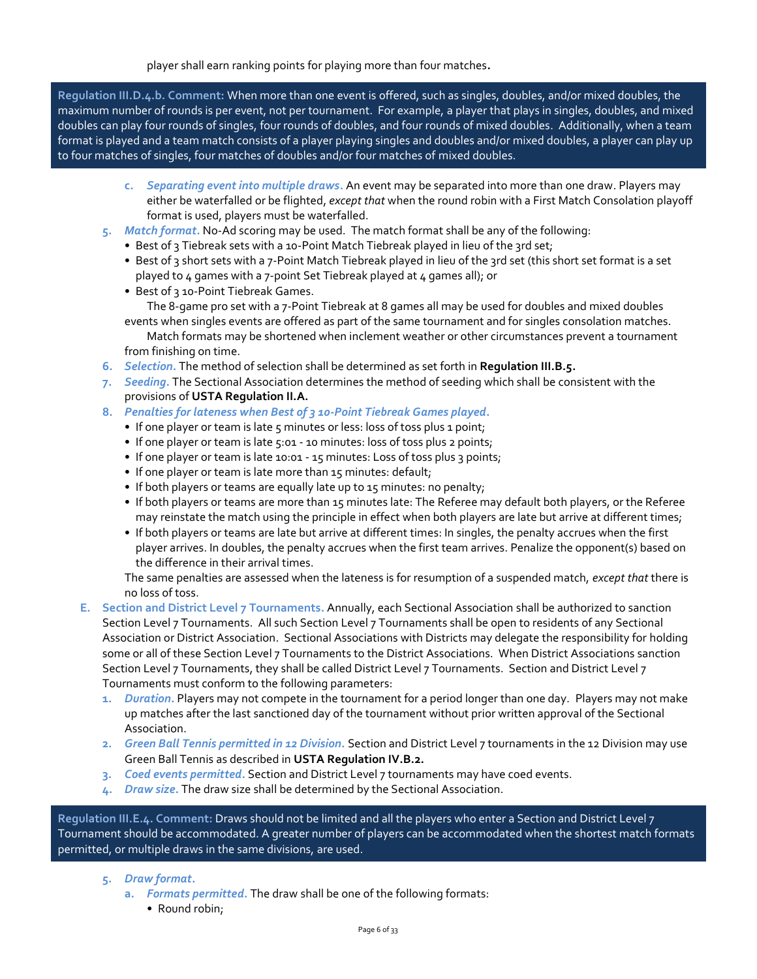player shall earn ranking points for playing more than four matches**.**

**Regulation III.D.4.b. Comment:** When more than one event is offered, such as singles, doubles, and/or mixed doubles, the maximum number of rounds is per event, not per tournament. For example, a player that plays in singles, doubles, and mixed doubles can play four rounds of singles, four rounds of doubles, and four rounds of mixed doubles. Additionally, when a team format is played and a team match consists of a player playing singles and doubles and/or mixed doubles, a player can play up to four matches of singles, four matches of doubles and/or four matches of mixed doubles.

- **c.** *Separating event into multiple draws***.** An event may be separated into more than one draw. Players may either be waterfalled or be flighted, *except that* when the round robin with a First Match Consolation playoff format is used, players must be waterfalled.
- **5.** *Match format***.** No-Ad scoring may be used. The match format shall be any of the following:
	- Best of 3 Tiebreak sets with a 10-Point Match Tiebreak played in lieu of the 3rd set;
	- Best of 3 short sets with a 7-Point Match Tiebreak played in lieu of the 3rd set (this short set format is a set played to 4 games with a 7-point Set Tiebreak played at 4 games all); or
	- Best of 3 10-Point Tiebreak Games.

The 8-game pro set with a 7-Point Tiebreak at 8 games all may be used for doubles and mixed doubles events when singles events are offered as part of the same tournament and for singles consolation matches. Match formats may be shortened when inclement weather or other circumstances prevent a tournament

from finishing on time.

- **6.** *Selection***.** The method of selection shall be determined as set forth in **Regulation III.B.5.**
- **7.** *Seeding***.** The Sectional Association determines the method of seeding which shall be consistent with the provisions of **USTA Regulation II.A.**
- **8.** *Penalties for lateness when Best of 3 10-Point Tiebreak Games played***.**
	- If one player or team is late 5 minutes or less: loss of toss plus 1 point;
	- If one player or team is late 5:01 10 minutes: loss of toss plus 2 points;
	- If one player or team is late 10:01 15 minutes: Loss of toss plus 3 points;
	- If one player or team is late more than 15 minutes: default;
	- If both players or teams are equally late up to 15 minutes: no penalty;
	- If both players or teams are more than 15 minutes late: The Referee may default both players, or the Referee may reinstate the match using the principle in effect when both players are late but arrive at different times;
	- If both players or teams are late but arrive at different times: In singles, the penalty accrues when the first player arrives. In doubles, the penalty accrues when the first team arrives. Penalize the opponent(s) based on the difference in their arrival times.

The same penalties are assessed when the lateness is for resumption of a suspended match, *except that* there is no loss of toss.

**E. Section and District Level 7 Tournaments.** Annually, each Sectional Association shall be authorized to sanction Section Level 7 Tournaments. All such Section Level 7 Tournaments shall be open to residents of any Sectional Association or District Association. Sectional Associations with Districts may delegate the responsibility for holding some or all of these Section Level 7 Tournaments to the District Associations. When District Associations sanction Section Level 7 Tournaments, they shall be called District Level 7 Tournaments. Section and District Level 7 Tournaments must conform to the following parameters:

- **1.** *Duration***.** Players may not compete in the tournament for a period longer than one day. Players may not make up matches after the last sanctioned day of the tournament without prior written approval of the Sectional Association.
- **2.** *Green Ball Tennis permitted in 12 Division.* Section and District Level 7 tournaments in the 12 Division may use Green Ball Tennis as described in **USTA Regulation IV.B.2.**
- **3.** *Coed events permitted***.** Section and District Level 7 tournaments may have coed events.
- **4.** *Draw size***.** The draw size shall be determined by the Sectional Association.

**Regulation III.E.4. Comment:** Draws should not be limited and all the players who enter a Section and District Level 7 Tournament should be accommodated. A greater number of players can be accommodated when the shortest match formats permitted, or multiple draws in the same divisions, are used.

- **5.** *Draw format***.**
	- **a.** *Formats permitted***.** The draw shall be one of the following formats:
		- Round robin;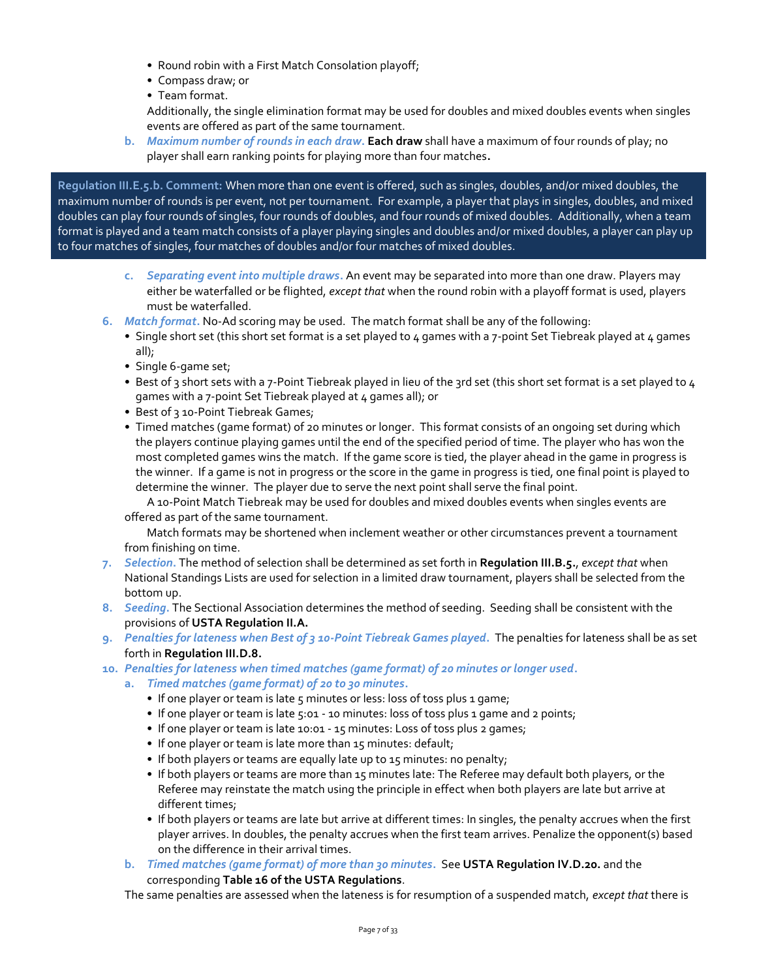- Round robin with a First Match Consolation playoff;
- Compass draw; or
- Team format.

Additionally, the single elimination format may be used for doubles and mixed doubles events when singles events are offered as part of the same tournament.

**b.** *Maximum number of rounds in each draw***. Each draw** shall have a maximum of four rounds of play; no player shall earn ranking points for playing more than four matches**.**

**Regulation III.E.5.b. Comment:** When more than one event is offered, such as singles, doubles, and/or mixed doubles, the maximum number of rounds is per event, not per tournament. For example, a player that plays in singles, doubles, and mixed doubles can play four rounds of singles, four rounds of doubles, and four rounds of mixed doubles. Additionally, when a team format is played and a team match consists of a player playing singles and doubles and/or mixed doubles, a player can play up to four matches of singles, four matches of doubles and/or four matches of mixed doubles.

- **c.** *Separating event into multiple draws***.** An event may be separated into more than one draw. Players may either be waterfalled or be flighted, *except that* when the round robin with a playoff format is used, players must be waterfalled.
- **6.** *Match format***.** No-Ad scoring may be used. The match format shall be any of the following:
	- Single short set (this short set format is a set played to  $4$  games with a 7-point Set Tiebreak played at  $4$  games all);
	- Single 6-game set;
	- Best of 3 short sets with a 7-Point Tiebreak played in lieu of the 3rd set (this short set format is a set played to 4 games with a 7-point Set Tiebreak played at 4 games all); or
	- Best of 3 10-Point Tiebreak Games;
	- Timed matches (game format) of 20 minutes or longer. This format consists of an ongoing set during which the players continue playing games until the end of the specified period of time. The player who has won the most completed games wins the match. If the game score is tied, the player ahead in the game in progress is the winner. If a game is not in progress or the score in the game in progress is tied, one final point is played to determine the winner. The player due to serve the next point shall serve the final point.

A 10-Point Match Tiebreak may be used for doubles and mixed doubles events when singles events are offered as part of the same tournament.

Match formats may be shortened when inclement weather or other circumstances prevent a tournament from finishing on time.

- **7.** *Selection***.** The method of selection shall be determined as set forth in **Regulation III.B.5.**, *except that* when National Standings Lists are used for selection in a limited draw tournament, players shall be selected from the bottom up.
- **8.** *Seeding***.** The Sectional Association determines the method of seeding. Seeding shall be consistent with the provisions of **USTA Regulation II.A.**
- **9.** *Penalties for lateness when Best of 3 10-Point Tiebreak Games played***.** The penalties for lateness shall be as set forth in **Regulation III.D.8.**
- **10.** *Penalties for lateness when timed matches (game format) of 20 minutes or longer used***.**
	- **a.** *Timed matches (game format) of 20 to 30 minutes***.**
		- If one player or team is late 5 minutes or less: loss of toss plus 1 game;
		- If one player or team is late 5:01 10 minutes: loss of toss plus 1 game and 2 points;
		- If one player or team is late 10:01 15 minutes: Loss of toss plus 2 games;
		- If one player or team is late more than 15 minutes: default;
		- If both players or teams are equally late up to 15 minutes: no penalty;
		- If both players or teams are more than 15 minutes late: The Referee may default both players, or the Referee may reinstate the match using the principle in effect when both players are late but arrive at different times;
		- If both players or teams are late but arrive at different times: In singles, the penalty accrues when the first player arrives. In doubles, the penalty accrues when the first team arrives. Penalize the opponent(s) based on the difference in their arrival times.
	- **b.** *Timed matches (game format) of more than 30 minutes***.** See **USTA Regulation IV.D.20.** and the corresponding **Table 16 of the USTA Regulations**.

The same penalties are assessed when the lateness is for resumption of a suspended match, *except that* there is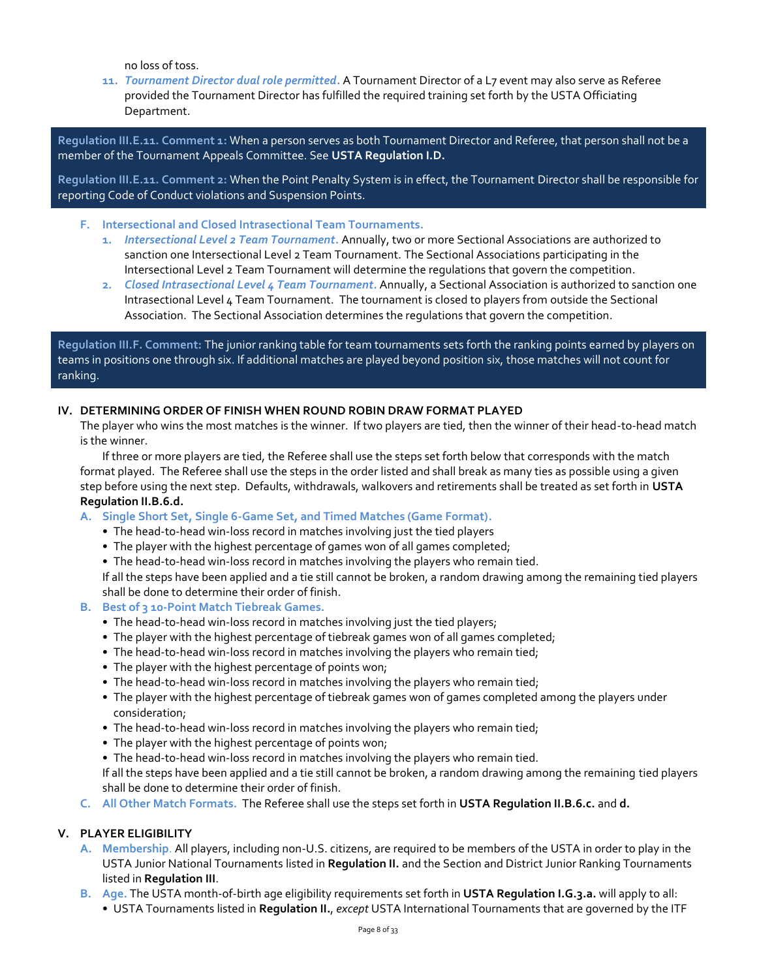no loss of toss.

**11.** *Tournament Director dual role permitted***.** A Tournament Director of a L7 event may also serve as Referee provided the Tournament Director has fulfilled the required training set forth by the USTA Officiating Department.

**Regulation III.E.11. Comment 1:** When a person serves as both Tournament Director and Referee, that person shall not be a member of the Tournament Appeals Committee. See **USTA Regulation I.D.**

**Regulation III.E.11. Comment 2:** When the Point Penalty System is in effect, the Tournament Director shall be responsible for reporting Code of Conduct violations and Suspension Points.

- **F. Intersectional and Closed Intrasectional Team Tournaments.**
	- **1.** *Intersectional Level 2 Team Tournament***.** Annually, two or more Sectional Associations are authorized to sanction one Intersectional Level 2 Team Tournament. The Sectional Associations participating in the Intersectional Level 2 Team Tournament will determine the regulations that govern the competition.
	- **2.** *Closed Intrasectional Level 4 Team Tournament***.** Annually, a Sectional Association is authorized to sanction one Intrasectional Level 4 Team Tournament. The tournament is closed to players from outside the Sectional Association. The Sectional Association determines the regulations that govern the competition.

**Regulation III.F. Comment:** The junior ranking table for team tournaments sets forth the ranking points earned by players on teams in positions one through six. If additional matches are played beyond position six, those matches will not count for ranking.

# **IV. DETERMINING ORDER OF FINISH WHEN ROUND ROBIN DRAW FORMAT PLAYED**

The player who wins the most matches is the winner. If two players are tied, then the winner of their head-to-head match is the winner.

If three or more players are tied, the Referee shall use the steps set forth below that corresponds with the match format played. The Referee shall use the steps in the order listed and shall break as many ties as possible using a given step before using the next step. Defaults, withdrawals, walkovers and retirements shall be treated as set forth in **USTA Regulation II.B.6.d.**

- **A. Single Short Set, Single 6-Game Set, and Timed Matches (Game Format).**
	- The head-to-head win-loss record in matches involving just the tied players
	- The player with the highest percentage of games won of all games completed;
	- The head-to-head win-loss record in matches involving the players who remain tied.

If all the steps have been applied and a tie still cannot be broken, a random drawing among the remaining tied players shall be done to determine their order of finish.

- **B. Best of 3 10-Point Match Tiebreak Games.**
	- The head-to-head win-loss record in matches involving just the tied players;
	- The player with the highest percentage of tiebreak games won of all games completed;
	- The head-to-head win-loss record in matches involving the players who remain tied;
	- The player with the highest percentage of points won;
	- The head-to-head win-loss record in matches involving the players who remain tied;
	- The player with the highest percentage of tiebreak games won of games completed among the players under consideration;
	- The head-to-head win-loss record in matches involving the players who remain tied;
	- The player with the highest percentage of points won;
	- The head-to-head win-loss record in matches involving the players who remain tied.

If all the steps have been applied and a tie still cannot be broken, a random drawing among the remaining tied players shall be done to determine their order of finish.

**C. All Other Match Formats.** The Referee shall use the steps set forth in **USTA Regulation II.B.6.c.** and **d.**

#### **V. PLAYER ELIGIBILITY**

- **A. Membership**. All players, including non-U.S. citizens, are required to be members of the USTA in order to play in the USTA Junior National Tournaments listed in **Regulation II.** and the Section and District Junior Ranking Tournaments listed in **Regulation III**.
- **B. Age.** The USTA month-of-birth age eligibility requirements set forth in **USTA Regulation I.G.3.a.** will apply to all:
	- USTA Tournaments listed in **Regulation II.**, *except* USTA International Tournaments that are governed by the ITF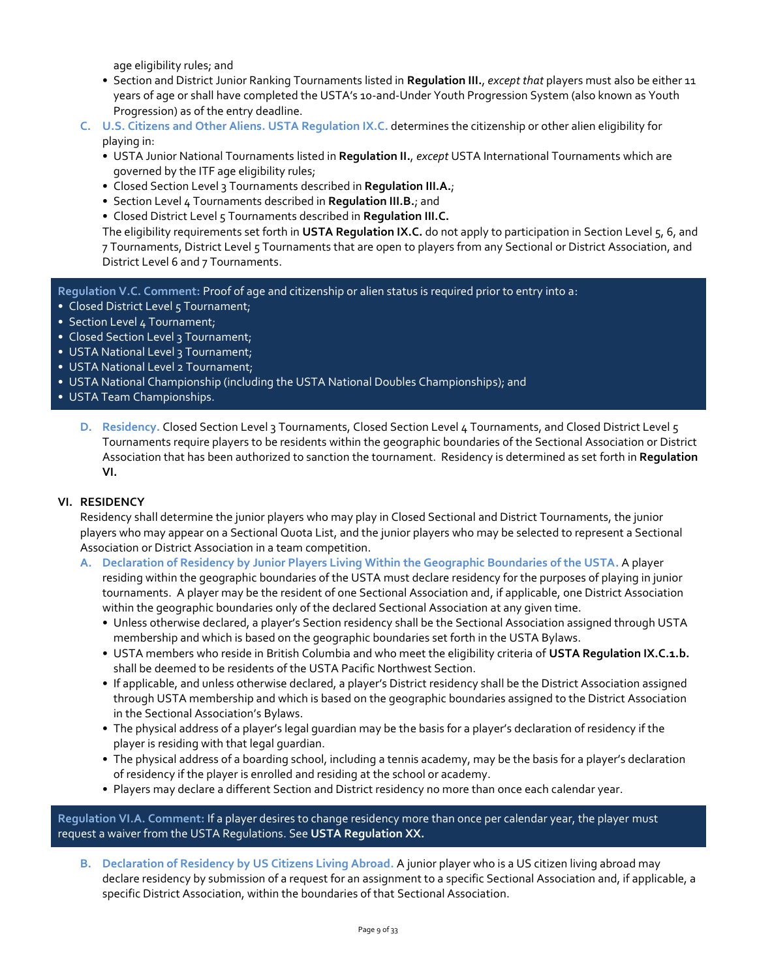age eligibility rules; and

- Section and District Junior Ranking Tournaments listed in **Regulation III.**, *except that* players must also be either 11 years of age or shall have completed the USTA's 10-and-Under Youth Progression System (also known as Youth Progression) as of the entry deadline.
- **C. U.S. Citizens and Other Aliens. USTA Regulation IX.C.** determines the citizenship or other alien eligibility for playing in:
	- USTA Junior National Tournaments listed in **Regulation II.**, *except* USTA International Tournaments which are governed by the ITF age eligibility rules;
	- Closed Section Level 3 Tournaments described in **Regulation III.A.**;
	- Section Level 4 Tournaments described in **Regulation III.B.**; and
	- Closed District Level 5 Tournaments described in **Regulation III.C.**

The eligibility requirements set forth in **USTA Regulation IX.C.** do not apply to participation in Section Level 5, 6, and 7 Tournaments, District Level 5 Tournaments that are open to players from any Sectional or District Association, and District Level 6 and 7 Tournaments.

**Regulation V.C. Comment:** Proof of age and citizenship or alien status is required prior to entry into a:

- Closed District Level 5 Tournament;
- Section Level 4 Tournament;
- Closed Section Level 3 Tournament;
- USTA National Level 3 Tournament;
- USTA National Level 2 Tournament;
- USTA National Championship (including the USTA National Doubles Championships); and
- USTA Team Championships.
	- **D. Residency.** Closed Section Level 3 Tournaments, Closed Section Level 4 Tournaments, and Closed District Level 5 Tournaments require players to be residents within the geographic boundaries of the Sectional Association or District Association that has been authorized to sanction the tournament. Residency is determined as set forth in **Regulation VI.**

#### **VI. RESIDENCY**

Residency shall determine the junior players who may play in Closed Sectional and District Tournaments, the junior players who may appear on a Sectional Quota List, and the junior players who may be selected to represent a Sectional Association or District Association in a team competition.

- **A. Declaration of Residency by Junior Players Living Within the Geographic Boundaries of the USTA.** A player residing within the geographic boundaries of the USTA must declare residency for the purposes of playing in junior tournaments. A player may be the resident of one Sectional Association and, if applicable, one District Association within the geographic boundaries only of the declared Sectional Association at any given time.
	- Unless otherwise declared, a player's Section residency shall be the Sectional Association assigned through USTA membership and which is based on the geographic boundaries set forth in the USTA Bylaws.
	- USTA members who reside in British Columbia and who meet the eligibility criteria of **USTA Regulation IX.C.1.b.**  shall be deemed to be residents of the USTA Pacific Northwest Section.
	- If applicable, and unless otherwise declared, a player's District residency shall be the District Association assigned through USTA membership and which is based on the geographic boundaries assigned to the District Association in the Sectional Association's Bylaws.
	- The physical address of a player's legal guardian may be the basis for a player's declaration of residency if the player is residing with that legal guardian.
	- The physical address of a boarding school, including a tennis academy, may be the basis for a player's declaration of residency if the player is enrolled and residing at the school or academy.
	- Players may declare a different Section and District residency no more than once each calendar year.

**Regulation VI.A. Comment:** If a player desires to change residency more than once per calendar year, the player must request a waiver from the USTA Regulations. See **USTA Regulation XX.**

**B. Declaration of Residency by US Citizens Living Abroad.** A junior player who is a US citizen living abroad may declare residency by submission of a request for an assignment to a specific Sectional Association and, if applicable, a specific District Association, within the boundaries of that Sectional Association.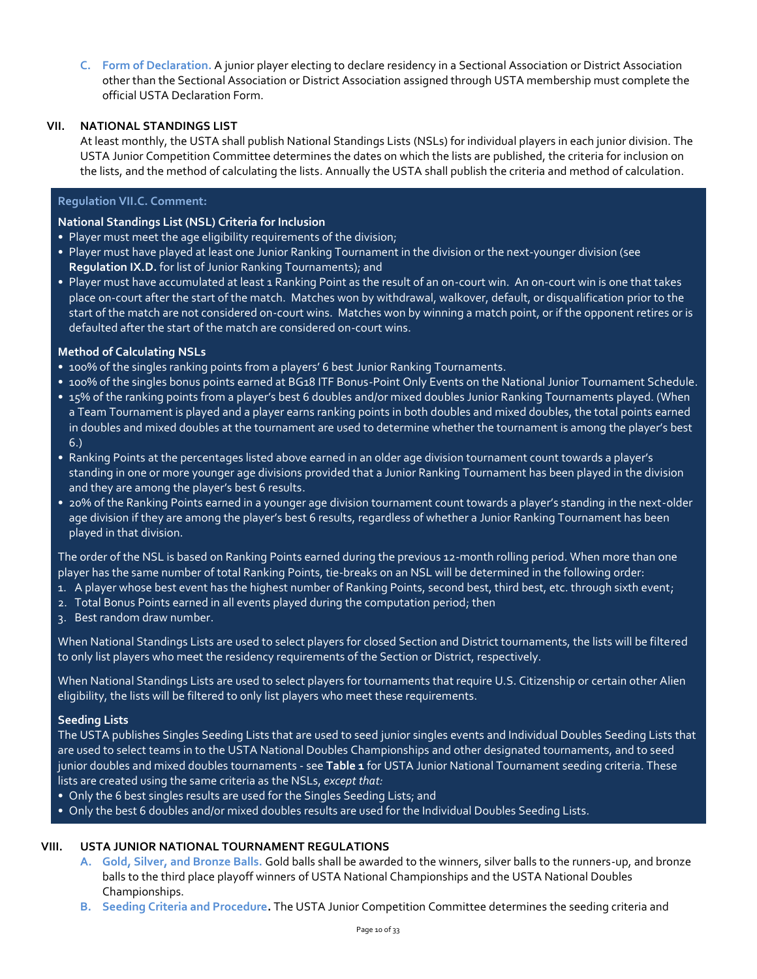**C. Form of Declaration.** A junior player electing to declare residency in a Sectional Association or District Association other than the Sectional Association or District Association assigned through USTA membership must complete the official USTA Declaration Form.

# **VII. NATIONAL STANDINGS LIST**

At least monthly, the USTA shall publish National Standings Lists (NSLs) for individual players in each junior division. The USTA Junior Competition Committee determines the dates on which the lists are published, the criteria for inclusion on the lists, and the method of calculating the lists. Annually the USTA shall publish the criteria and method of calculation.

# **Regulation VII.C. Comment:**

# **National Standings List (NSL) Criteria for Inclusion**

- Player must meet the age eligibility requirements of the division;
- Player must have played at least one Junior Ranking Tournament in the division or the next-younger division (see **Regulation IX.D.** for list of Junior Ranking Tournaments); and
- Player must have accumulated at least 1 Ranking Point as the result of an on-court win. An on-court win is one that takes place on-court after the start of the match. Matches won by withdrawal, walkover, default, or disqualification prior to the start of the match are not considered on-court wins. Matches won by winning a match point, or if the opponent retires or is defaulted after the start of the match are considered on-court wins.

#### **Method of Calculating NSLs**

- 100% of the singles ranking points from a players' 6 best Junior Ranking Tournaments.
- 100% of the singles bonus points earned at BG18 ITF Bonus-Point Only Events on the National Junior Tournament Schedule.
- 15% of the ranking points from a player's best 6 doubles and/or mixed doubles Junior Ranking Tournaments played. (When a Team Tournament is played and a player earns ranking points in both doubles and mixed doubles, the total points earned in doubles and mixed doubles at the tournament are used to determine whether the tournament is among the player's best 6.)
- Ranking Points at the percentages listed above earned in an older age division tournament count towards a player's standing in one or more younger age divisions provided that a Junior Ranking Tournament has been played in the division and they are among the player's best 6 results.
- 20% of the Ranking Points earned in a younger age division tournament count towards a player's standing in the next-older age division if they are among the player's best 6 results, regardless of whether a Junior Ranking Tournament has been played in that division.

The order of the NSL is based on Ranking Points earned during the previous 12-month rolling period. When more than one player has the same number of total Ranking Points, tie-breaks on an NSL will be determined in the following order:

- 1. A player whose best event has the highest number of Ranking Points, second best, third best, etc. through sixth event;
- 2. Total Bonus Points earned in all events played during the computation period; then
- 3. Best random draw number.

When National Standings Lists are used to select players for closed Section and District tournaments, the lists will be filtered to only list players who meet the residency requirements of the Section or District, respectively.

When National Standings Lists are used to select players for tournaments that require U.S. Citizenship or certain other Alien eligibility, the lists will be filtered to only list players who meet these requirements.

#### **Seeding Lists**

The USTA publishes Singles Seeding Lists that are used to seed junior singles events and Individual Doubles Seeding Lists that are used to select teams in to the USTA National Doubles Championships and other designated tournaments, and to seed junior doubles and mixed doubles tournaments - see **Table 1** for USTA Junior National Tournament seeding criteria. These lists are created using the same criteria as the NSLs, *except that:*

- Only the 6 best singles results are used for the Singles Seeding Lists; and
- Only the best 6 doubles and/or mixed doubles results are used for the Individual Doubles Seeding Lists.

# **VIII. USTA JUNIOR NATIONAL TOURNAMENT REGULATIONS**

- **A. Gold, Silver, and Bronze Balls.** Gold balls shall be awarded to the winners, silver balls to the runners-up, and bronze balls to the third place playoff winners of USTA National Championships and the USTA National Doubles Championships.
- **B. Seeding Criteria and Procedure.** The USTA Junior Competition Committee determines the seeding criteria and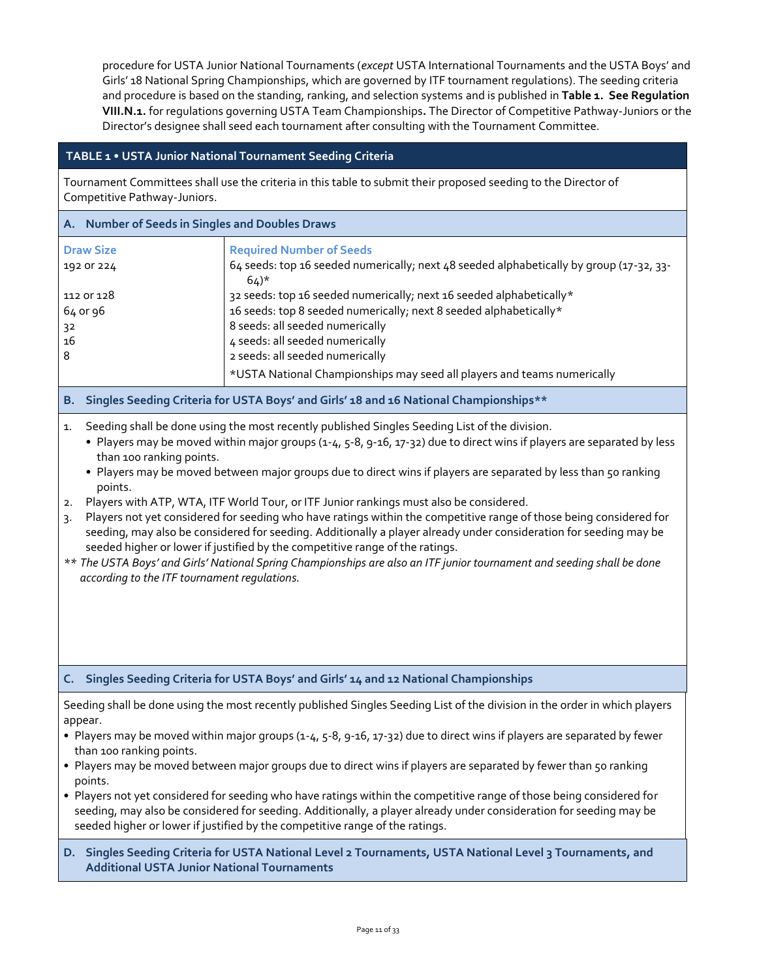procedure for USTA Junior National Tournaments (*except* USTA International Tournaments and the USTA Boys' and Girls' 18 National Spring Championships, which are governed by ITF tournament regulations). The seeding criteria and procedure is based on the standing, ranking, and selection systems and is published in **Table 1. See Regulation VIII.N.1.** for regulations governing USTA Team Championships**.** The Director of Competitive Pathway-Juniors or the Director's designee shall seed each tournament after consulting with the Tournament Committee.

# **TABLE 1 • USTA Junior National Tournament Seeding Criteria**

Tournament Committees shall use the criteria in this table to submit their proposed seeding to the Director of Competitive Pathway-Juniors.

#### **A. Number of Seeds in Singles and Doubles Draws**

| <b>Draw Size</b> | <b>Required Number of Seeds</b>                                                                              |
|------------------|--------------------------------------------------------------------------------------------------------------|
| 192 OF 224       | 64 seeds: top 16 seeded numerically; next 48 seeded alphabetically by group (17-32, 33-<br>$64$ <sup>*</sup> |
| 112 or 128       | 32 seeds: top 16 seeded numerically; next 16 seeded alphabetically*                                          |
| 64 or 96         | 16 seeds: top 8 seeded numerically; next 8 seeded alphabetically*                                            |
| 32               | 8 seeds: all seeded numerically                                                                              |
| 16               | 4 seeds: all seeded numerically                                                                              |
| 8                | 2 seeds: all seeded numerically                                                                              |
|                  | *USTA National Championships may seed all players and teams numerically                                      |
|                  |                                                                                                              |

# **B. Singles Seeding Criteria for USTA Boys' and Girls' 18 and 16 National Championships\*\***

- 1. Seeding shall be done using the most recently published Singles Seeding List of the division.
	- Players may be moved within major groups (1-4, 5-8, 9-16, 17-32) due to direct wins if players are separated by less than 100 ranking points.
	- Players may be moved between major groups due to direct wins if players are separated by less than 50 ranking points.
- 2. Players with ATP, WTA, ITF World Tour, or ITF Junior rankings must also be considered.
- 3. Players not yet considered for seeding who have ratings within the competitive range of those being considered for seeding, may also be considered for seeding. Additionally a player already under consideration for seeding may be seeded higher or lower if justified by the competitive range of the ratings.
- *\*\* The USTA Boys' and Girls' National Spring Championships are also an ITF junior tournament and seeding shall be done according to the ITF tournament regulations.*

#### **C. Singles Seeding Criteria for USTA Boys' and Girls' 14 and 12 National Championships**

Seeding shall be done using the most recently published Singles Seeding List of the division in the order in which players appear.

- Players may be moved within major groups (1-4, 5-8, 9-16, 17-32) due to direct wins if players are separated by fewer than 100 ranking points.
- Players may be moved between major groups due to direct wins if players are separated by fewer than 50 ranking points.
- Players not yet considered for seeding who have ratings within the competitive range of those being considered for seeding, may also be considered for seeding. Additionally, a player already under consideration for seeding may be seeded higher or lower if justified by the competitive range of the ratings.
- **D. Singles Seeding Criteria for USTA National Level 2 Tournaments, USTA National Level 3 Tournaments, and Additional USTA Junior National Tournaments**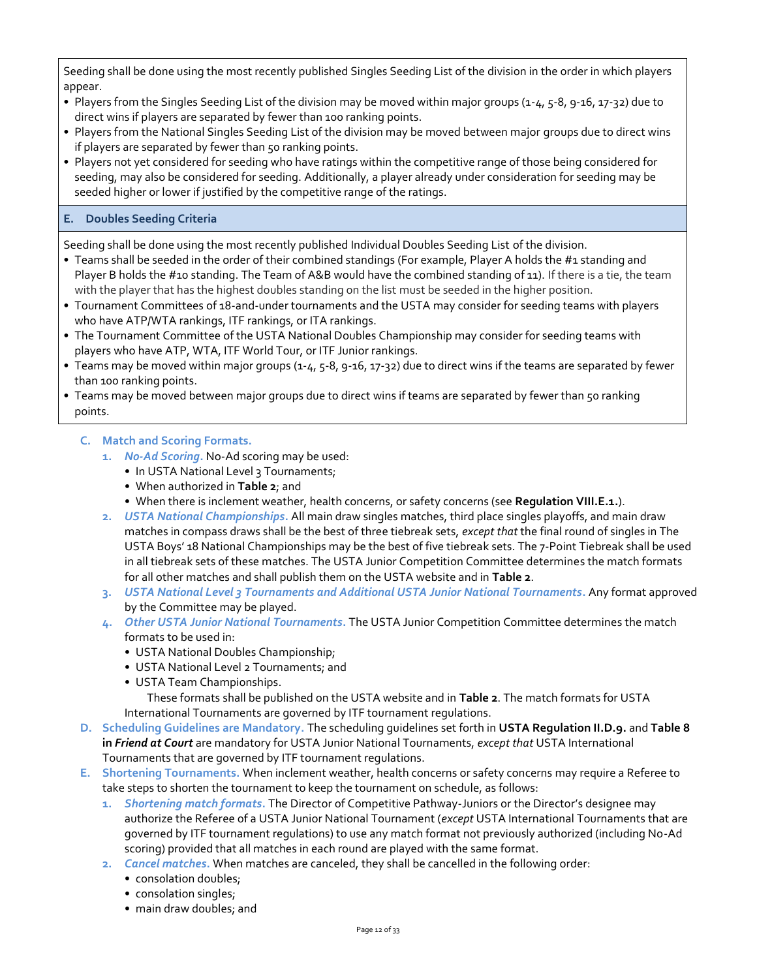Seeding shall be done using the most recently published Singles Seeding List of the division in the order in which players appear.

- Players from the Singles Seeding List of the division may be moved within major groups (1-4, 5-8, 9-16, 17-32) due to direct wins if players are separated by fewer than 100 ranking points.
- Players from the National Singles Seeding List of the division may be moved between major groups due to direct wins if players are separated by fewer than 50 ranking points.
- Players not yet considered for seeding who have ratings within the competitive range of those being considered for seeding, may also be considered for seeding. Additionally, a player already under consideration for seeding may be seeded higher or lower if justified by the competitive range of the ratings.

# **E. Doubles Seeding Criteria**

Seeding shall be done using the most recently published Individual Doubles Seeding List of the division.

- Teams shall be seeded in the order of their combined standings (For example, Player A holds the #1 standing and Player B holds the #10 standing. The Team of A&B would have the combined standing of 11). If there is a tie, the team with the player that has the highest doubles standing on the list must be seeded in the higher position.
- Tournament Committees of 18-and-under tournaments and the USTA may consider for seeding teams with players who have ATP/WTA rankings, ITF rankings, or ITA rankings.
- The Tournament Committee of the USTA National Doubles Championship may consider for seeding teams with players who have ATP, WTA, ITF World Tour, or ITF Junior rankings.
- Teams may be moved within major groups (1-4, 5-8, 9-16, 17-32) due to direct wins if the teams are separated by fewer than 100 ranking points.
- Teams may be moved between major groups due to direct wins if teams are separated by fewer than 50 ranking points.

# **C. Match and Scoring Formats.**

- **1.** *No-Ad Scoring***.** No-Ad scoring may be used:
	- In USTA National Level 3 Tournaments;
	- When authorized in **Table 2**; and
	- When there is inclement weather, health concerns, or safety concerns (see **Regulation VIII.E.1.**).
- **2.** *USTA National Championships***.** All main draw singles matches, third place singles playoffs, and main draw matches in compass draws shall be the best of three tiebreak sets, *except that* the final round of singles in The USTA Boys' 18 National Championships may be the best of five tiebreak sets. The 7-Point Tiebreak shall be used in all tiebreak sets of these matches. The USTA Junior Competition Committee determines the match formats for all other matches and shall publish them on the USTA website and in **Table 2**.
- **3.** *USTA National Level 3 Tournaments and Additional USTA Junior National Tournaments***.** Any format approved by the Committee may be played.
- **4.** *Other USTA Junior National Tournaments***.** The USTA Junior Competition Committee determines the match formats to be used in:
	- USTA National Doubles Championship;
	- USTA National Level 2 Tournaments; and
	- USTA Team Championships.

These formats shall be published on the USTA website and in **Table 2**. The match formats for USTA International Tournaments are governed by ITF tournament regulations.

- **D. Scheduling Guidelines are Mandatory.** The scheduling guidelines set forth in **USTA Regulation II.D.9.** and **Table 8 in** *Friend at Court* are mandatory for USTA Junior National Tournaments, *except that* USTA International Tournaments that are governed by ITF tournament regulations.
- **E. Shortening Tournaments.** When inclement weather, health concerns or safety concerns may require a Referee to take steps to shorten the tournament to keep the tournament on schedule, as follows:
	- **1.** *Shortening match formats***.** The Director of Competitive Pathway-Juniors or the Director's designee may authorize the Referee of a USTA Junior National Tournament (*except* USTA International Tournaments that are governed by ITF tournament regulations) to use any match format not previously authorized (including No-Ad scoring) provided that all matches in each round are played with the same format.
	- **2.** *Cancel matches***.** When matches are canceled, they shall be cancelled in the following order:
		- consolation doubles;
		- consolation singles;
		- main draw doubles; and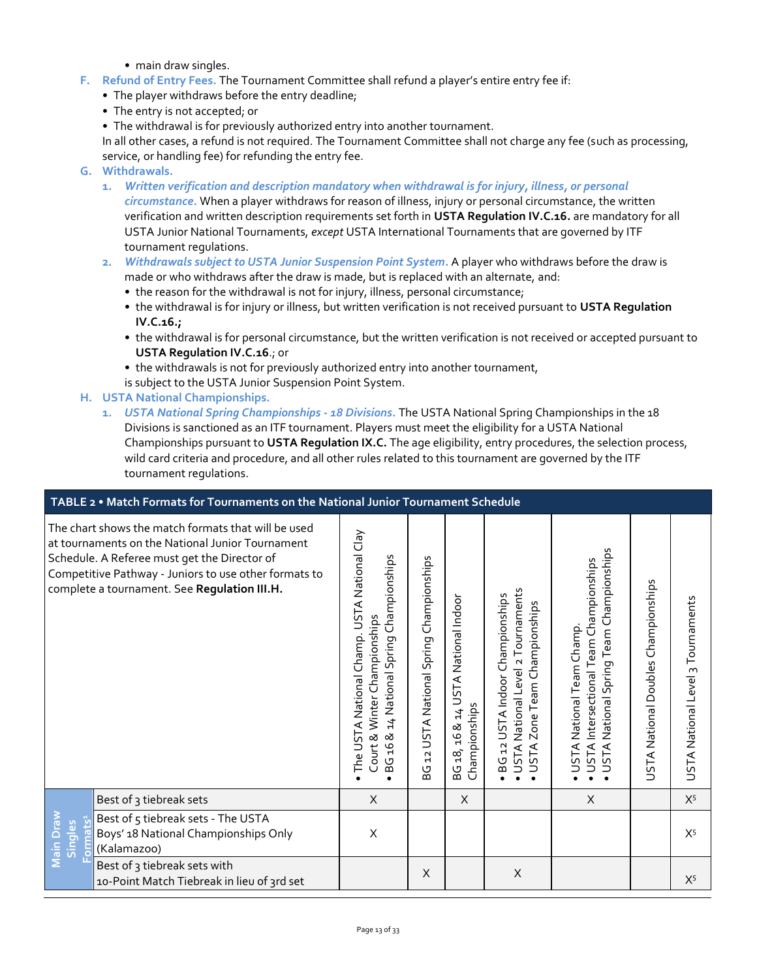- main draw singles.
- **F. Refund of Entry Fees.** The Tournament Committee shall refund a player's entire entry fee if:
	- The player withdraws before the entry deadline;
	- The entry is not accepted; or
	- The withdrawal is for previously authorized entry into another tournament.

In all other cases, a refund is not required. The Tournament Committee shall not charge any fee (such as processing, service, or handling fee) for refunding the entry fee.

- **G. Withdrawals.**
	- **1.** *Written verification and description mandatory when withdrawal is for injury, illness, or personal*

*circumstance***.** When a player withdraws for reason of illness, injury or personal circumstance, the written verification and written description requirements set forth in **USTA Regulation IV.C.16.** are mandatory for all USTA Junior National Tournaments, *except* USTA International Tournaments that are governed by ITF tournament regulations.

- **2.** *Withdrawals subject to USTA Junior Suspension Point System***.** A player who withdraws before the draw is made or who withdraws after the draw is made, but is replaced with an alternate, and:
	- the reason for the withdrawal is not for injury, illness, personal circumstance;
	- the withdrawal is for injury or illness, but written verification is not received pursuant to **USTA Regulation IV.C.16.;**
	- the withdrawal is for personal circumstance, but the written verification is not received or accepted pursuant to **USTA Regulation IV.C.16**.; or
	- the withdrawals is not for previously authorized entry into another tournament,
	- is subject to the USTA Junior Suspension Point System.
- **H. USTA National Championships.**
	- **1.** *USTA National Spring Championships - 18 Divisions.* The USTA National Spring Championships in the 18 Divisions is sanctioned as an ITF tournament. Players must meet the eligibility for a USTA National Championships pursuant to **USTA Regulation IX.C.** The age eligibility, entry procedures, the selection process, wild card criteria and procedure, and all other rules related to this tournament are governed by the ITF tournament regulations.

| TABLE 2 . Match Formats for Tournaments on the National Junior Tournament Schedule                                                                                                                                                                               |                                                                                                                                                 |                                                   |                                                      |                                                                                                         |                                                                                                                    |                                     |                                   |  |
|------------------------------------------------------------------------------------------------------------------------------------------------------------------------------------------------------------------------------------------------------------------|-------------------------------------------------------------------------------------------------------------------------------------------------|---------------------------------------------------|------------------------------------------------------|---------------------------------------------------------------------------------------------------------|--------------------------------------------------------------------------------------------------------------------|-------------------------------------|-----------------------------------|--|
| The chart shows the match formats that will be used<br>at tournaments on the National Junior Tournament<br>Schedule. A Referee must get the Director of<br>Competitive Pathway - Juniors to use other formats to<br>complete a tournament. See Regulation III.H. | USTA National Clay<br>Championships<br>Court & Winter Championships<br>The USTA National Champ.<br>National Spring<br>$\sharp$<br>∞<br>ρĻ<br>5G | Championships<br>USTA National Spring<br>12<br>9G | BG 18, 16 & 14 USTA National Indoor<br>Championships | USTA National Level 2 Tournaments<br>BG 12 USTA Indoor Championships<br>Zone Team Championships<br>USTA | National Spring Team Championships<br>USTA Intersectional Team Championships<br>USTA National Team Champ.<br>USTA1 | USTA National Doubles Championships | USTA National Level 3 Tournaments |  |
| Best of 3 tiebreak sets                                                                                                                                                                                                                                          | X                                                                                                                                               |                                                   | X                                                    |                                                                                                         | X                                                                                                                  |                                     | $X^5$                             |  |
| Best of 5 tiebreak sets - The USTA<br>Main Drav<br>its <sup>1</sup><br>Singles<br>Boys' 18 National Championships Only<br>(Kalamazoo)<br>ß                                                                                                                       | X                                                                                                                                               |                                                   |                                                      |                                                                                                         |                                                                                                                    |                                     | $X^5$                             |  |
| Best of 3 tiebreak sets with<br>10-Point Match Tiebreak in lieu of 3rd set                                                                                                                                                                                       |                                                                                                                                                 | X                                                 |                                                      | X                                                                                                       |                                                                                                                    |                                     | $X^5$                             |  |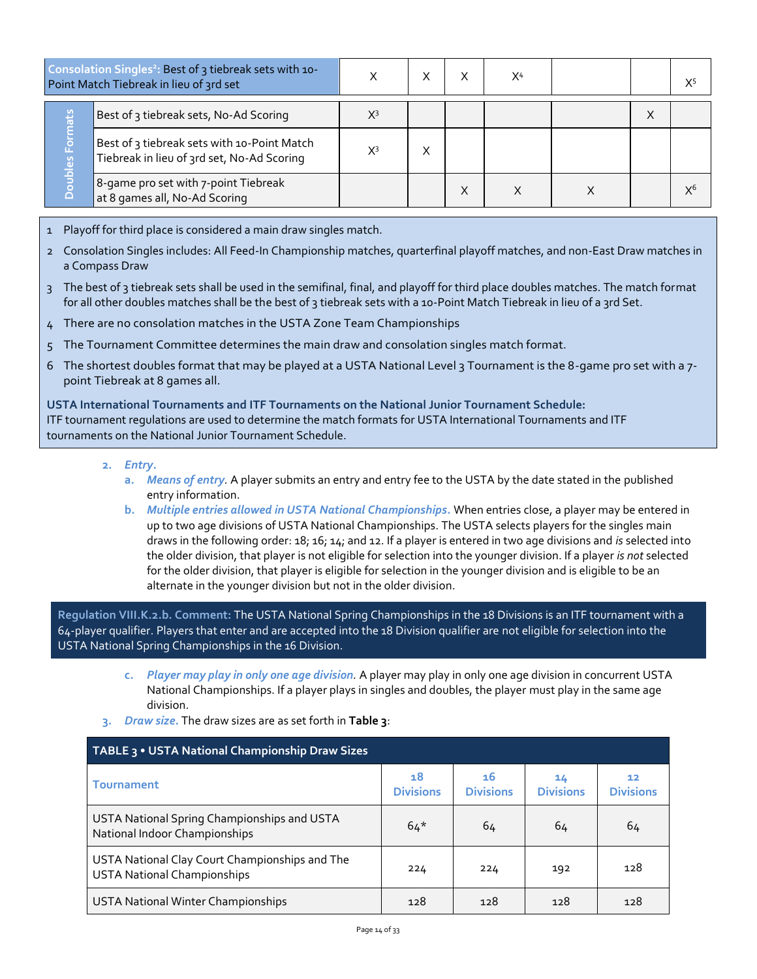| Consolation Singles <sup>2</sup> : Best of 3 tiebreak sets with 10-<br>Point Match Tiebreak in lieu of 3rd set |                                                                                           |       |  | X <sup>4</sup> |   | $X^5$ |
|----------------------------------------------------------------------------------------------------------------|-------------------------------------------------------------------------------------------|-------|--|----------------|---|-------|
|                                                                                                                | Best of 3 tiebreak sets, No-Ad Scoring                                                    | X3    |  |                | Х |       |
| ubles Fo<br>$\cap$                                                                                             | Best of 3 tiebreak sets with 10-Point Match<br>Tiebreak in lieu of 3rd set, No-Ad Scoring | $X^3$ |  |                |   |       |
|                                                                                                                | 8-game pro set with 7-point Tiebreak<br>at 8 games all, No-Ad Scoring                     |       |  |                |   |       |

- 1 Playoff for third place is considered a main draw singles match.
- 2 Consolation Singles includes: All Feed-In Championship matches, quarterfinal playoff matches, and non-East Draw matches in a Compass Draw
- 3 The best of 3 tiebreak sets shall be used in the semifinal, final, and playoff for third place doubles matches. The match format for all other doubles matches shall be the best of 3 tiebreak sets with a 10-Point Match Tiebreak in lieu of a 3rd Set.
- 4 There are no consolation matches in the USTA Zone Team Championships
- 5 The Tournament Committee determines the main draw and consolation singles match format.
- 6 The shortest doubles format that may be played at a USTA National Level 3 Tournament is the 8-game pro set with a 7 point Tiebreak at 8 games all.

**USTA International Tournaments and ITF Tournaments on the National Junior Tournament Schedule:** ITF tournament regulations are used to determine the match formats for USTA International Tournaments and ITF tournaments on the National Junior Tournament Schedule.

- **2.** *Entry***.** 
	- **a.** *Means of entry.* A player submits an entry and entry fee to the USTA by the date stated in the published entry information.
	- **b.** *Multiple entries allowed in USTA National Championships.* When entries close, a player may be entered in up to two age divisions of USTA National Championships. The USTA selects players for the singles main draws in the following order: 18; 16; 14; and 12. If a player is entered in two age divisions and *is* selected into the older division, that player is not eligible for selection into the younger division. If a player *is not* selected for the older division, that player is eligible for selection in the younger division and is eligible to be an alternate in the younger division but not in the older division.

**Regulation VIII.K.2.b. Comment:** The USTA National Spring Championships in the 18 Divisions is an ITF tournament with a 64-player qualifier. Players that enter and are accepted into the 18 Division qualifier are not eligible for selection into the USTA National Spring Championships in the 16 Division.

- **c.** *Player may play in only one age division.* A player may play in only one age division in concurrent USTA National Championships. If a player plays in singles and doubles, the player must play in the same age division.
- **3.** *Draw size***.** The draw sizes are as set forth in **Table 3**:

| TABLE 3 . USTA National Championship Draw Sizes                                      |                        |                        |                        |                                     |  |  |  |  |
|--------------------------------------------------------------------------------------|------------------------|------------------------|------------------------|-------------------------------------|--|--|--|--|
| <b>Tournament</b>                                                                    | 18<br><b>Divisions</b> | 16<br><b>Divisions</b> | 14<br><b>Divisions</b> | 12 <sub>1</sub><br><b>Divisions</b> |  |  |  |  |
| USTA National Spring Championships and USTA<br>National Indoor Championships         | $64*$                  | 64                     | 64                     | 64                                  |  |  |  |  |
| USTA National Clay Court Championships and The<br><b>USTA National Championships</b> | 224                    | 224                    | 192                    | 128                                 |  |  |  |  |
| USTA National Winter Championships                                                   | 128                    | 128                    | 128                    | 128                                 |  |  |  |  |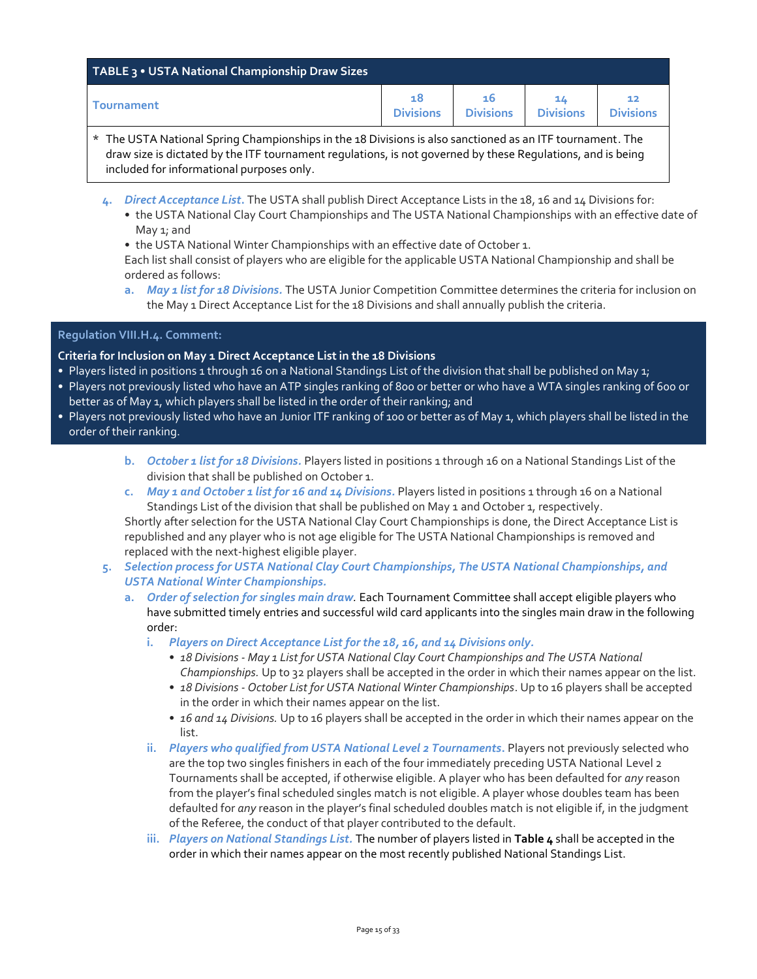| TABLE 3 . USTA National Championship Draw Sizes |                        |                        |                  |                        |  |  |  |
|-------------------------------------------------|------------------------|------------------------|------------------|------------------------|--|--|--|
| <b>Tournament</b>                               | 18<br><b>Divisions</b> | 16<br><b>Divisions</b> | <b>Divisions</b> | 12<br><b>Divisions</b> |  |  |  |

- \* The USTA National Spring Championships in the 18 Divisions is also sanctioned as an ITF tournament. The draw size is dictated by the ITF tournament regulations, is not governed by these Regulations, and is being included for informational purposes only.
	- **4.** *Direct Acceptance List***.** The USTA shall publish Direct Acceptance Lists in the 18, 16 and 14 Divisions for:
		- the USTA National Clay Court Championships and The USTA National Championships with an effective date of May 1; and
		- the USTA National Winter Championships with an effective date of October 1.
		- Each list shall consist of players who are eligible for the applicable USTA National Championship and shall be ordered as follows:
		- **a.** *May 1 list for 18 Divisions.* The USTA Junior Competition Committee determines the criteria for inclusion on the May 1 Direct Acceptance List for the 18 Divisions and shall annually publish the criteria.

# **Regulation VIII.H.4. Comment:**

# **Criteria for Inclusion on May 1 Direct Acceptance List in the 18 Divisions**

- Players listed in positions 1 through 16 on a National Standings List of the division that shall be published on May 1;
- Players not previously listed who have an ATP singles ranking of 800 or better or who have a WTA singles ranking of 600 or better as of May 1, which players shall be listed in the order of their ranking; and
- Players not previously listed who have an Junior ITF ranking of 100 or better as of May 1, which players shall be listed in the order of their ranking.
	- **b.** *October 1 list for 18 Divisions.* Players listed in positions 1 through 16 on a National Standings List of the division that shall be published on October 1.
	- **c.** *May 1 and October 1 list for 16 and 14 Divisions.* Players listed in positions 1 through 16 on a National Standings List of the division that shall be published on May 1 and October 1, respectively.

Shortly after selection for the USTA National Clay Court Championships is done, the Direct Acceptance List is republished and any player who is not age eligible for The USTA National Championships is removed and replaced with the next-highest eligible player.

- **5.** *Selection process for USTA National Clay Court Championships, The USTA National Championships, and USTA National Winter Championships.*
	- **a.** *Order of selection for singles main draw.* Each Tournament Committee shall accept eligible players who have submitted timely entries and successful wild card applicants into the singles main draw in the following order:
		- **i.** *Players on Direct Acceptance List for the 18, 16, and 14 Divisions only.*
			- *18 Divisions - May 1 List for USTA National Clay Court Championships and The USTA National Championships.* Up to 32 players shall be accepted in the order in which their names appear on the list.
			- *18 Divisions - October List for USTA National Winter Championships*. Up to 16 players shall be accepted in the order in which their names appear on the list.
			- *16 and 14 Divisions.* Up to 16 players shall be accepted in the order in which their names appear on the list.
		- **ii.** *Players who qualified from USTA National Level 2 Tournaments***.** Players not previously selected who are the top two singles finishers in each of the four immediately preceding USTA National Level 2 Tournaments shall be accepted, if otherwise eligible. A player who has been defaulted for *any* reason from the player's final scheduled singles match is not eligible. A player whose doubles team has been defaulted for *any* reason in the player's final scheduled doubles match is not eligible if, in the judgment of the Referee, the conduct of that player contributed to the default.
		- **iii.** *Players on National Standings List.* The number of players listed in **Table 4** shall be accepted in the order in which their names appear on the most recently published National Standings List.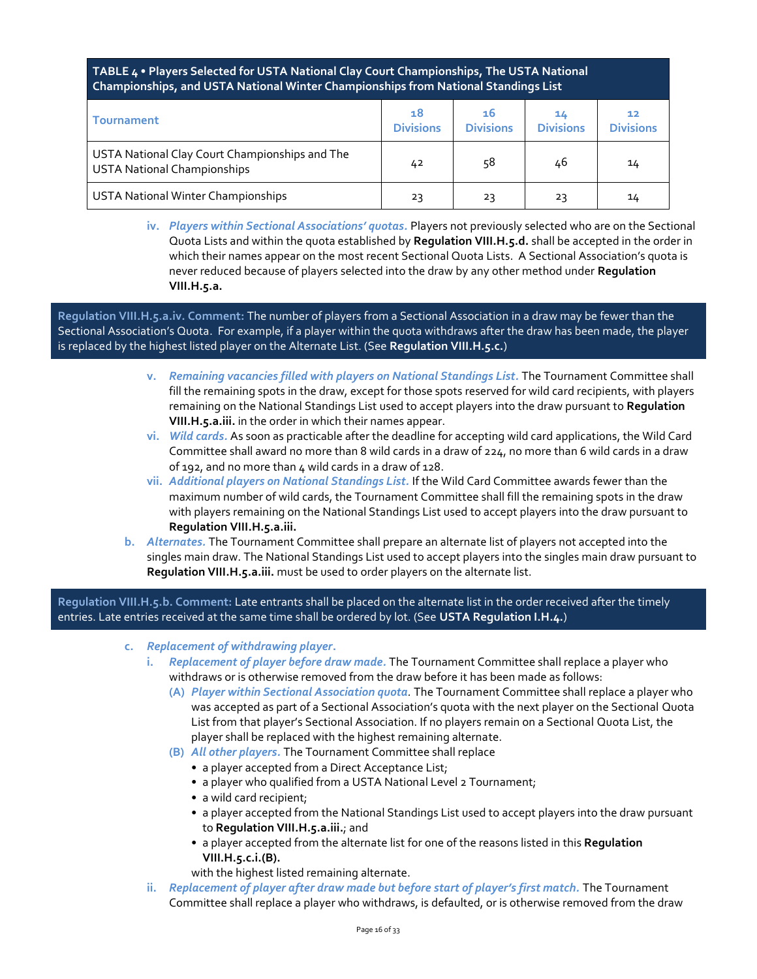# **TABLE 4 • Players Selected for USTA National Clay Court Championships, The USTA National Championships, and USTA National Winter Championships from National Standings List**

| <b>Tournament</b>                                                                    | 18<br><b>Divisions</b> | 16<br><b>Divisions</b> | 14<br><b>Divisions</b> | 12<br><b>Divisions</b> |
|--------------------------------------------------------------------------------------|------------------------|------------------------|------------------------|------------------------|
| USTA National Clay Court Championships and The<br><b>USTA National Championships</b> | 42                     | 58                     | 46                     | 14                     |
| <b>USTA National Winter Championships</b>                                            | 23                     | 23                     | 23                     | 14                     |

**iv.** *Players within Sectional Associations' quotas.* Players not previously selected who are on the Sectional Quota Lists and within the quota established by **Regulation VIII.H.5.d.** shall be accepted in the order in which their names appear on the most recent Sectional Quota Lists. A Sectional Association's quota is never reduced because of players selected into the draw by any other method under **Regulation VIII.H.5.a.**

**Regulation VIII.H.5.a.iv. Comment:** The number of players from a Sectional Association in a draw may be fewer than the Sectional Association's Quota. For example, if a player within the quota withdraws after the draw has been made, the player is replaced by the highest listed player on the Alternate List. (See **Regulation VIII.H.5.c.**)

- **v.** *Remaining vacancies filled with players on National Standings List.* The Tournament Committee shall fill the remaining spots in the draw, except for those spots reserved for wild card recipients, with players remaining on the National Standings List used to accept players into the draw pursuant to **Regulation VIII.H.5.a.iii.** in the order in which their names appear.
- **vi.** *Wild cards.* As soon as practicable after the deadline for accepting wild card applications, the Wild Card Committee shall award no more than 8 wild cards in a draw of 224, no more than 6 wild cards in a draw of 192, and no more than 4 wild cards in a draw of 128.
- **vii.** *Additional players on National Standings List.* If the Wild Card Committee awards fewer than the maximum number of wild cards, the Tournament Committee shall fill the remaining spots in the draw with players remaining on the National Standings List used to accept players into the draw pursuant to **Regulation VIII.H.5.a.iii.**
- **b.** *Alternates.* The Tournament Committee shall prepare an alternate list of players not accepted into the singles main draw. The National Standings List used to accept players into the singles main draw pursuant to **Regulation VIII.H.5.a.iii.** must be used to order players on the alternate list.

**Regulation VIII.H.5.b. Comment:** Late entrants shall be placed on the alternate list in the order received after the timely entries. Late entries received at the same time shall be ordered by lot. (See **USTA Regulation I.H.4.**)

- **c.** *Replacement of withdrawing player***.**
	- **i.** *Replacement of player before draw made.* The Tournament Committee shall replace a player who withdraws or is otherwise removed from the draw before it has been made as follows:
		- **(A)** *Player within Sectional Association quota.* The Tournament Committee shall replace a player who was accepted as part of a Sectional Association's quota with the next player on the Sectional Quota List from that player's Sectional Association. If no players remain on a Sectional Quota List, the player shall be replaced with the highest remaining alternate.
		- **(B)** *All other players.* The Tournament Committee shall replace
			- a player accepted from a Direct Acceptance List;
			- a player who qualified from a USTA National Level 2 Tournament;
			- a wild card recipient;
			- a player accepted from the National Standings List used to accept players into the draw pursuant to **Regulation VIII.H.5.a.iii.**; and
			- a player accepted from the alternate list for one of the reasons listed in this **Regulation VIII.H.5.c.i.(B).**

with the highest listed remaining alternate.

**ii.** *Replacement of player after draw made but before start of player's first match.* The Tournament Committee shall replace a player who withdraws, is defaulted, or is otherwise removed from the draw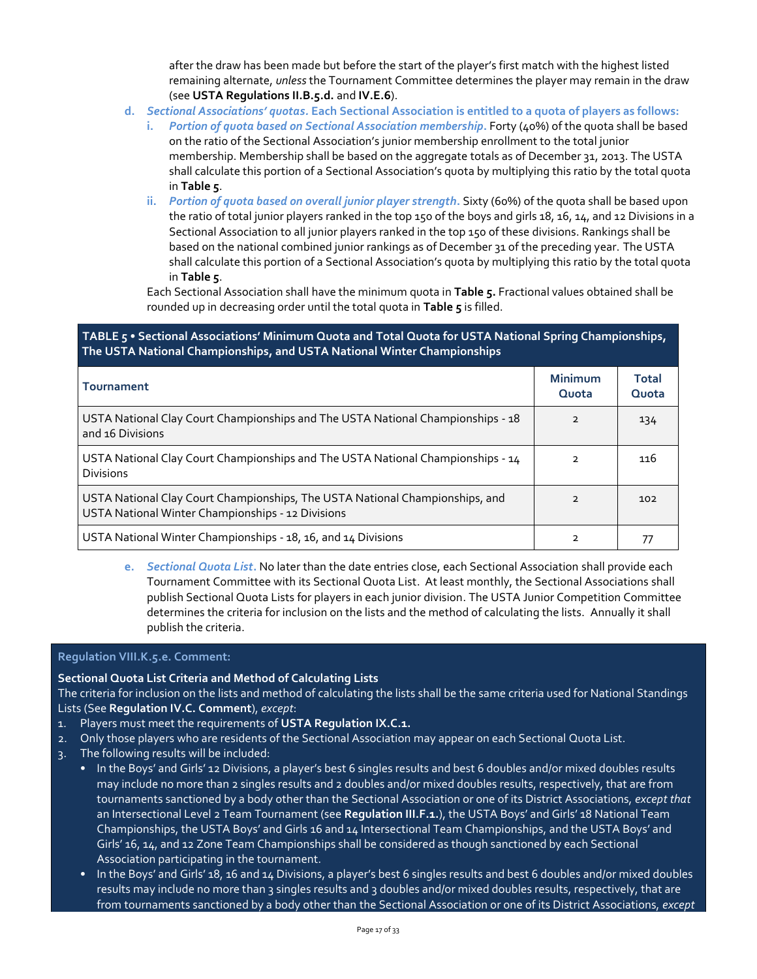after the draw has been made but before the start of the player's first match with the highest listed remaining alternate, *unless* the Tournament Committee determines the player may remain in the draw (see **USTA Regulations II.B.5.d.** and **IV.E.6**).

- **d.** *Sectional Associations' quotas.* **Each Sectional Association is entitled to a quota of players as follows:**
	- **i.** *Portion of quota based on Sectional Association membership***.** Forty (40%) of the quota shall be based on the ratio of the Sectional Association's junior membership enrollment to the total junior membership. Membership shall be based on the aggregate totals as of December 31, 2013. The USTA shall calculate this portion of a Sectional Association's quota by multiplying this ratio by the total quota in **Table 5**.
	- **ii.** *Portion of quota based on overall junior player strength***.** Sixty (60%) of the quota shall be based upon the ratio of total junior players ranked in the top 150 of the boys and girls 18, 16, 14, and 12 Divisions in a Sectional Association to all junior players ranked in the top 150 of these divisions. Rankings shall be based on the national combined junior rankings as of December 31 of the preceding year. The USTA shall calculate this portion of a Sectional Association's quota by multiplying this ratio by the total quota in **Table 5**.

Each Sectional Association shall have the minimum quota in **Table 5.** Fractional values obtained shall be rounded up in decreasing order until the total quota in **Table 5** is filled.

**TABLE 5 • Sectional Associations' Minimum Quota and Total Quota for USTA National Spring Championships, The USTA National Championships, and USTA National Winter Championships**

| <b>Tournament</b>                                                                                                                 | <b>Minimum</b><br>Quota | <b>Total</b><br>Quota |
|-----------------------------------------------------------------------------------------------------------------------------------|-------------------------|-----------------------|
| USTA National Clay Court Championships and The USTA National Championships - 18<br>and 16 Divisions                               | $\mathcal{P}$           | 134                   |
| USTA National Clay Court Championships and The USTA National Championships - 14<br><b>Divisions</b>                               | $\mathcal{P}$           | 116                   |
| USTA National Clay Court Championships, The USTA National Championships, and<br>USTA National Winter Championships - 12 Divisions |                         | 102                   |
| USTA National Winter Championships - 18, 16, and 14 Divisions                                                                     | 2                       |                       |

**e.** *Sectional Quota List***.** No later than the date entries close, each Sectional Association shall provide each Tournament Committee with its Sectional Quota List. At least monthly, the Sectional Associations shall publish Sectional Quota Lists for players in each junior division. The USTA Junior Competition Committee determines the criteria for inclusion on the lists and the method of calculating the lists. Annually it shall publish the criteria.

#### **Regulation VIII.K.5.e. Comment:**

#### **Sectional Quota List Criteria and Method of Calculating Lists**

The criteria for inclusion on the lists and method of calculating the lists shall be the same criteria used for National Standings Lists (See **Regulation IV.C. Comment**), *except*:

- 1. Players must meet the requirements of **USTA Regulation IX.C.1.**
- 2. Only those players who are residents of the Sectional Association may appear on each Sectional Quota List.
- 3. The following results will be included:
	- In the Boys' and Girls' 12 Divisions, a player's best 6 singles results and best 6 doubles and/or mixed doubles results may include no more than 2 singles results and 2 doubles and/or mixed doubles results, respectively, that are from tournaments sanctioned by a body other than the Sectional Association or one of its District Associations, *except that*  an Intersectional Level 2 Team Tournament (see **Regulation III.F.1.**), the USTA Boys' and Girls' 18 National Team Championships, the USTA Boys' and Girls 16 and 14 Intersectional Team Championships, and the USTA Boys' and Girls' 16, 14, and 12 Zone Team Championships shall be considered as though sanctioned by each Sectional Association participating in the tournament.
	- In the Boys' and Girls' 18, 16 and 14 Divisions, a player's best 6 singles results and best 6 doubles and/or mixed doubles results may include no more than 3 singles results and 3 doubles and/or mixed doubles results, respectively, that are from tournaments sanctioned by a body other than the Sectional Association or one of its District Associations, *except*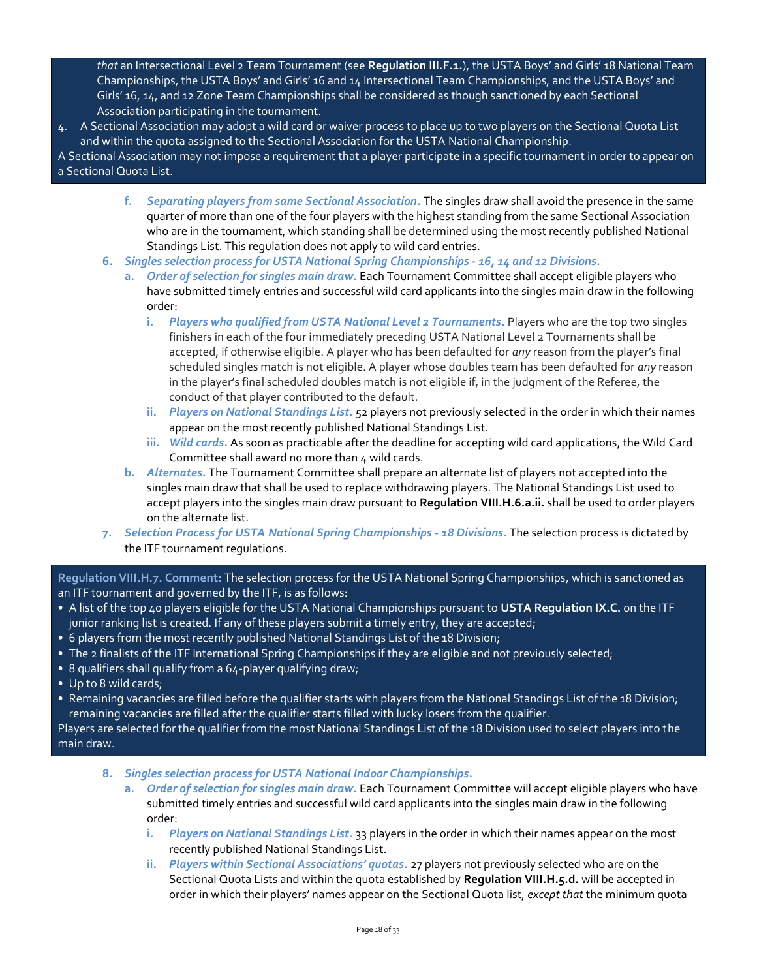*that* an Intersectional Level 2 Team Tournament (see **Regulation III.F.1.**), the USTA Boys' and Girls' 18 National Team Championships, the USTA Boys' and Girls' 16 and 14 Intersectional Team Championships, and the USTA Boys' and Girls' 16, 14, and 12 Zone Team Championships shall be considered as though sanctioned by each Sectional Association participating in the tournament.

- 4. A Sectional Association may adopt a wild card or waiver process to place up to two players on the Sectional Quota List and within the quota assigned to the Sectional Association for the USTA National Championship.
- A Sectional Association may not impose a requirement that a player participate in a specific tournament in order to appear on a Sectional Quota List.
	- **f.** *Separating players from same Sectional Association***.** The singles draw shall avoid the presence in the same quarter of more than one of the four players with the highest standing from the same Sectional Association who are in the tournament, which standing shall be determined using the most recently published National Standings List. This regulation does not apply to wild card entries.
	- **6.** *Singles selection process for USTA National Spring Championships - 16, 14 and 12 Divisions***.**
		- **a.** *Order of selection for singles main draw.* Each Tournament Committee shall accept eligible players who have submitted timely entries and successful wild card applicants into the singles main draw in the following order:
			- **i.** *Players who qualified from USTA National Level 2 Tournaments***.** Players who are the top two singles finishers in each of the four immediately preceding USTA National Level 2 Tournaments shall be accepted, if otherwise eligible. A player who has been defaulted for *any* reason from the player's final scheduled singles match is not eligible. A player whose doubles team has been defaulted for *any* reason in the player's final scheduled doubles match is not eligible if, in the judgment of the Referee, the conduct of that player contributed to the default.
			- **ii.** *Players on National Standings List.* 52 players not previously selected in the order in which their names appear on the most recently published National Standings List.
			- **iii.** *Wild cards.* As soon as practicable after the deadline for accepting wild card applications, the Wild Card Committee shall award no more than 4 wild cards.
		- **b.** *Alternates.* The Tournament Committee shall prepare an alternate list of players not accepted into the singles main draw that shall be used to replace withdrawing players. The National Standings List used to accept players into the singles main draw pursuant to **Regulation VIII.H.6.a.ii.** shall be used to order players on the alternate list.
	- **7.** *Selection Process for USTA National Spring Championships - 18 Divisions.* The selection process is dictated by the ITF tournament regulations.

**Regulation VIII.H.7. Comment:** The selection process for the USTA National Spring Championships, which is sanctioned as an ITF tournament and governed by the ITF, is as follows:

- A list of the top 40 players eligible for the USTA National Championships pursuant to **USTA Regulation IX.C.** on the ITF junior ranking list is created. If any of these players submit a timely entry, they are accepted;
- 6 players from the most recently published National Standings List of the 18 Division;
- The 2 finalists of the ITF International Spring Championships if they are eligible and not previously selected;
- 8 qualifiers shall qualify from a 64-player qualifying draw;
- Up to 8 wild cards;
- Remaining vacancies are filled before the qualifier starts with players from the National Standings List of the 18 Division; remaining vacancies are filled after the qualifier starts filled with lucky losers from the qualifier.

Players are selected for the qualifier from the most National Standings List of the 18 Division used to select players into the main draw.

- **8.** *Singles selection process for USTA National Indoor Championships***.**
	- **a.** *Order of selection for singles main draw.* Each Tournament Committee will accept eligible players who have submitted timely entries and successful wild card applicants into the singles main draw in the following order:
		- **i.** *Players on National Standings List.* 33 players in the order in which their names appear on the most recently published National Standings List.
		- **ii.** *Players within Sectional Associations' quotas.* 27 players not previously selected who are on the Sectional Quota Lists and within the quota established by **Regulation VIII.H.5.d.** will be accepted in order in which their players' names appear on the Sectional Quota list, *except that* the minimum quota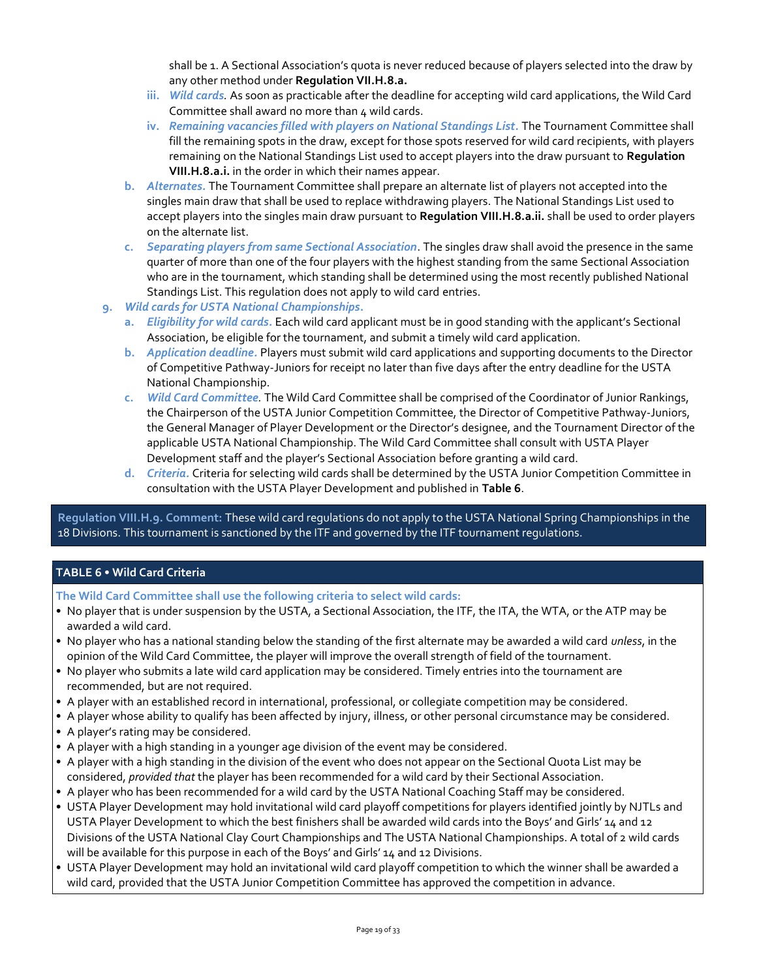shall be 1. A Sectional Association's quota is never reduced because of players selected into the draw by any other method under **Regulation VII.H.8.a.**

- **iii.** *Wild cards.* As soon as practicable after the deadline for accepting wild card applications, the Wild Card Committee shall award no more than  $\mu$  wild cards.
- **iv.** *Remaining vacancies filled with players on National Standings List.* The Tournament Committee shall fill the remaining spots in the draw, except for those spots reserved for wild card recipients, with players remaining on the National Standings List used to accept players into the draw pursuant to **Regulation VIII.H.8.a.i.** in the order in which their names appear.
- **b.** *Alternates.* The Tournament Committee shall prepare an alternate list of players not accepted into the singles main draw that shall be used to replace withdrawing players. The National Standings List used to accept players into the singles main draw pursuant to **Regulation VIII.H.8.a.ii.** shall be used to order players on the alternate list.
- **c.** *Separating players from same Sectional Association*. The singles draw shall avoid the presence in the same quarter of more than one of the four players with the highest standing from the same Sectional Association who are in the tournament, which standing shall be determined using the most recently published National Standings List. This regulation does not apply to wild card entries.
- **9.** *Wild cards for USTA National Championships***.**
	- **a.** *Eligibility for wild cards.* Each wild card applicant must be in good standing with the applicant's Sectional Association, be eligible for the tournament, and submit a timely wild card application.
	- **b.** *Application deadline.* Players must submit wild card applications and supporting documents to the Director of Competitive Pathway-Juniors for receipt no later than five days after the entry deadline for the USTA National Championship.
	- **c.** *Wild Card Committee.* The Wild Card Committee shall be comprised of the Coordinator of Junior Rankings, the Chairperson of the USTA Junior Competition Committee, the Director of Competitive Pathway-Juniors, the General Manager of Player Development or the Director's designee, and the Tournament Director of the applicable USTA National Championship. The Wild Card Committee shall consult with USTA Player Development staff and the player's Sectional Association before granting a wild card.
	- **d.** *Criteria.* Criteria for selecting wild cards shall be determined by the USTA Junior Competition Committee in consultation with the USTA Player Development and published in **Table 6**.

**Regulation VIII.H.9. Comment:** These wild card regulations do not apply to the USTA National Spring Championships in the 18 Divisions. This tournament is sanctioned by the ITF and governed by the ITF tournament regulations.

# **TABLE 6 • Wild Card Criteria**

**The Wild Card Committee shall use the following criteria to select wild cards:**

- No player that is under suspension by the USTA, a Sectional Association, the ITF, the ITA, the WTA, or the ATP may be awarded a wild card.
- No player who has a national standing below the standing of the first alternate may be awarded a wild card *unless*, in the opinion of the Wild Card Committee, the player will improve the overall strength of field of the tournament.
- No player who submits a late wild card application may be considered. Timely entries into the tournament are recommended, but are not required.
- A player with an established record in international, professional, or collegiate competition may be considered.
- A player whose ability to qualify has been affected by injury, illness, or other personal circumstance may be considered.
- A player's rating may be considered.
- A player with a high standing in a younger age division of the event may be considered.
- A player with a high standing in the division of the event who does not appear on the Sectional Quota List may be considered, *provided that* the player has been recommended for a wild card by their Sectional Association.
- A player who has been recommended for a wild card by the USTA National Coaching Staff may be considered.
- USTA Player Development may hold invitational wild card playoff competitions for players identified jointly by NJTLs and USTA Player Development to which the best finishers shall be awarded wild cards into the Boys' and Girls' 14 and 12 Divisions of the USTA National Clay Court Championships and The USTA National Championships. A total of 2 wild cards will be available for this purpose in each of the Boys' and Girls' 14 and 12 Divisions.
- USTA Player Development may hold an invitational wild card playoff competition to which the winner shall be awarded a wild card, provided that the USTA Junior Competition Committee has approved the competition in advance.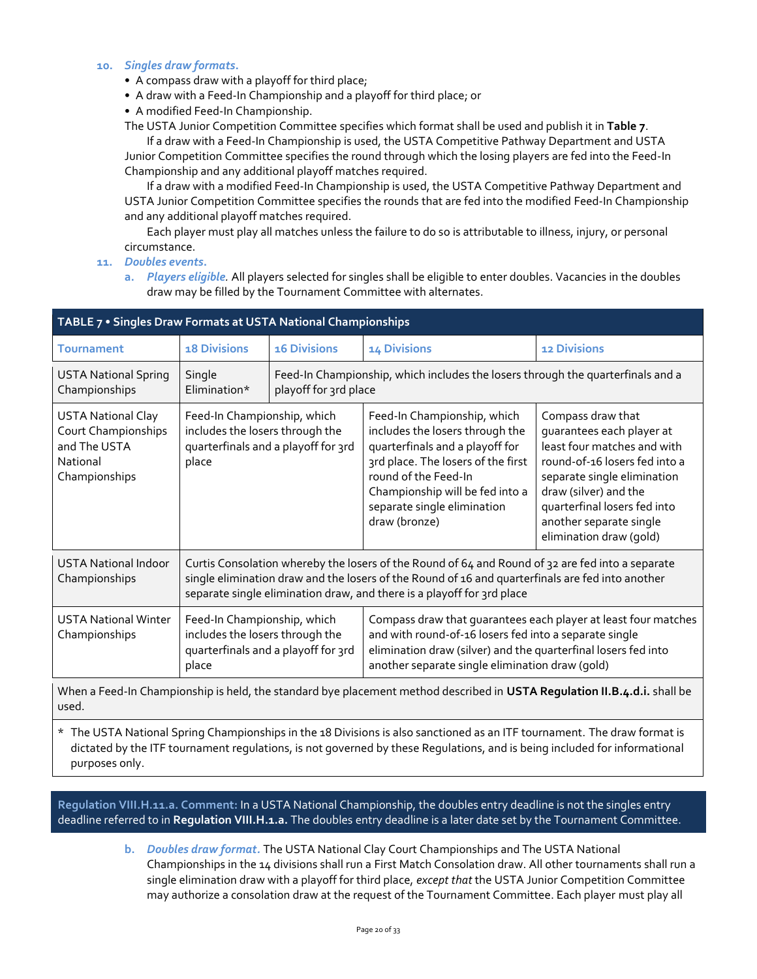#### **10.** *Singles draw formats***.**

- A compass draw with a playoff for third place;
- A draw with a Feed-In Championship and a playoff for third place; or
- A modified Feed-In Championship.

The USTA Junior Competition Committee specifies which format shall be used and publish it in **Table 7**.

If a draw with a Feed-In Championship is used, the USTA Competitive Pathway Department and USTA Junior Competition Committee specifies the round through which the losing players are fed into the Feed-In Championship and any additional playoff matches required.

If a draw with a modified Feed-In Championship is used, the USTA Competitive Pathway Department and USTA Junior Competition Committee specifies the rounds that are fed into the modified Feed-In Championship and any additional playoff matches required.

Each player must play all matches unless the failure to do so is attributable to illness, injury, or personal circumstance.

**11.** *Doubles events***.**

**a.** *Players eligible.* All players selected for singles shall be eligible to enter doubles. Vacancies in the doubles draw may be filled by the Tournament Committee with alternates.

| TABLE 7 . Singles Draw Formats at USTA National Championships                                 |                                                                                                                                                                                                                                                                                |                                     |                                                                                                                                                                                                                                                                                                                                                                                                                                                                                                                    |                     |  |  |  |  |  |
|-----------------------------------------------------------------------------------------------|--------------------------------------------------------------------------------------------------------------------------------------------------------------------------------------------------------------------------------------------------------------------------------|-------------------------------------|--------------------------------------------------------------------------------------------------------------------------------------------------------------------------------------------------------------------------------------------------------------------------------------------------------------------------------------------------------------------------------------------------------------------------------------------------------------------------------------------------------------------|---------------------|--|--|--|--|--|
| <b>Tournament</b>                                                                             | <b>18 Divisions</b>                                                                                                                                                                                                                                                            | <b>16 Divisions</b>                 | 14 Divisions                                                                                                                                                                                                                                                                                                                                                                                                                                                                                                       | <b>12 Divisions</b> |  |  |  |  |  |
| <b>USTA National Spring</b><br>Championships                                                  | Single<br>Elimination*                                                                                                                                                                                                                                                         |                                     | Feed-In Championship, which includes the losers through the quarterfinals and a<br>playoff for 3rd place                                                                                                                                                                                                                                                                                                                                                                                                           |                     |  |  |  |  |  |
| <b>USTA National Clay</b><br>Court Championships<br>and The USTA<br>National<br>Championships | Feed-In Championship, which<br>includes the losers through the<br>place                                                                                                                                                                                                        | quarterfinals and a playoff for 3rd | Feed-In Championship, which<br>Compass draw that<br>includes the losers through the<br>quarantees each player at<br>least four matches and with<br>quarterfinals and a playoff for<br>3rd place. The losers of the first<br>round-of-16 losers fed into a<br>round of the Feed-In<br>separate single elimination<br>Championship will be fed into a<br>draw (silver) and the<br>separate single elimination<br>quarterfinal losers fed into<br>another separate single<br>draw (bronze)<br>elimination draw (gold) |                     |  |  |  |  |  |
| <b>USTA National Indoor</b><br>Championships                                                  | Curtis Consolation whereby the losers of the Round of 64 and Round of 32 are fed into a separate<br>single elimination draw and the losers of the Round of 16 and quarterfinals are fed into another<br>separate single elimination draw, and there is a playoff for 3rd place |                                     |                                                                                                                                                                                                                                                                                                                                                                                                                                                                                                                    |                     |  |  |  |  |  |
| <b>USTA National Winter</b><br>Championships                                                  | Feed-In Championship, which<br>includes the losers through the<br>place                                                                                                                                                                                                        | quarterfinals and a playoff for 3rd | Compass draw that guarantees each player at least four matches<br>and with round-of-16 losers fed into a separate single<br>elimination draw (silver) and the quarterfinal losers fed into<br>another separate single elimination draw (qold)                                                                                                                                                                                                                                                                      |                     |  |  |  |  |  |
|                                                                                               | When a Feed-In Championship is held, the standard bye placement method described in USTA Regulation II.B.4.d.i. shall be                                                                                                                                                       |                                     |                                                                                                                                                                                                                                                                                                                                                                                                                                                                                                                    |                     |  |  |  |  |  |

used.

\* The USTA National Spring Championships in the 18 Divisions is also sanctioned as an ITF tournament. The draw format is dictated by the ITF tournament regulations, is not governed by these Regulations, and is being included for informational purposes only.

**Regulation VIII.H.11.a. Comment:** In a USTA National Championship, the doubles entry deadline is not the singles entry deadline referred to in **Regulation VIII.H.1.a.** The doubles entry deadline is a later date set by the Tournament Committee.

> **b.** *Doubles draw format.* The USTA National Clay Court Championships and The USTA National Championships in the 14 divisions shall run a First Match Consolation draw. All other tournaments shall run a single elimination draw with a playoff for third place, *except that* the USTA Junior Competition Committee may authorize a consolation draw at the request of the Tournament Committee. Each player must play all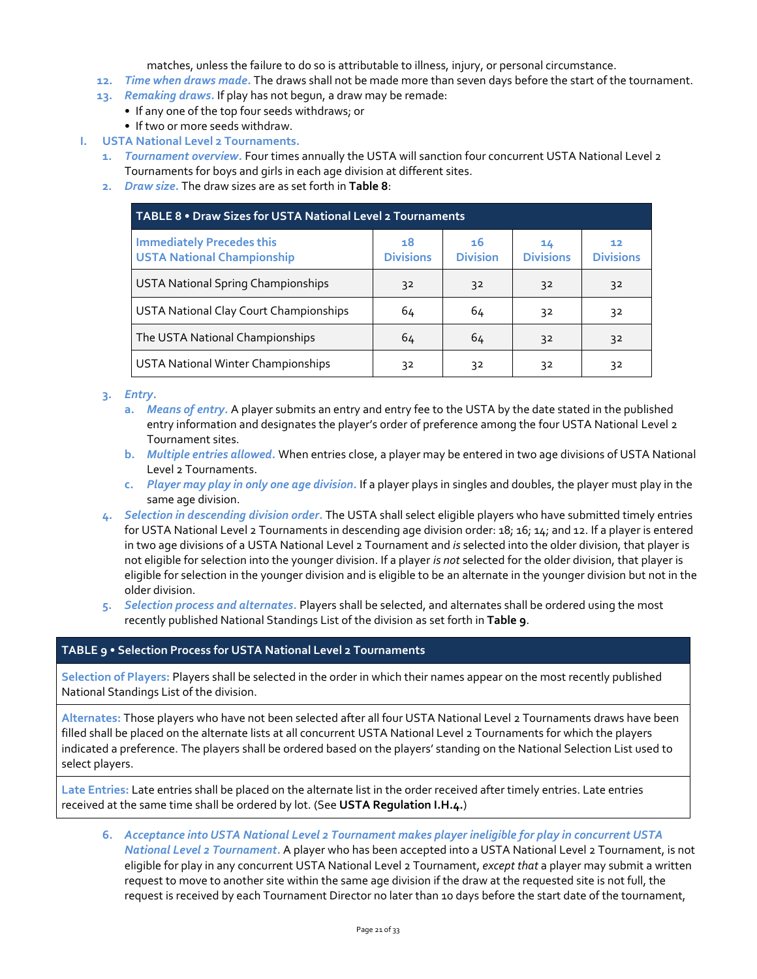matches, unless the failure to do so is attributable to illness, injury, or personal circumstance.

- **12.** *Time when draws made***.** The draws shall not be made more than seven days before the start of the tournament.
- **13.** *Remaking draws.* If play has not begun, a draw may be remade:
	- If any one of the top four seeds withdraws; or • If two or more seeds withdraw.
- **I. USTA National Level 2 Tournaments.**
	- **1.** *Tournament overview.* Four times annually the USTA will sanction four concurrent USTA National Level 2 Tournaments for boys and girls in each age division at different sites.
	- **2.** *Draw size.* The draw sizes are as set forth in **Table 8**:

| TABLE 8 . Draw Sizes for USTA National Level 2 Tournaments            |                        |                       |                        |                        |  |  |  |
|-----------------------------------------------------------------------|------------------------|-----------------------|------------------------|------------------------|--|--|--|
| <b>Immediately Precedes this</b><br><b>USTA National Championship</b> | 18<br><b>Divisions</b> | 16<br><b>Division</b> | 14<br><b>Divisions</b> | 12<br><b>Divisions</b> |  |  |  |
| <b>USTA National Spring Championships</b>                             | 32                     | 32                    | 32                     | 32                     |  |  |  |
| USTA National Clay Court Championships                                | 64                     | 64                    | 32                     | 32                     |  |  |  |
| The USTA National Championships                                       | 64                     | 64                    | 32                     | 32                     |  |  |  |
| <b>USTA National Winter Championships</b>                             | 32                     | 32                    | 32                     | 32                     |  |  |  |

# **3.** *Entry***.**

- **a.** *Means of entry.* A player submits an entry and entry fee to the USTA by the date stated in the published entry information and designates the player's order of preference among the four USTA National Level 2 Tournament sites.
- **b.** *Multiple entries allowed.* When entries close, a player may be entered in two age divisions of USTA National Level 2 Tournaments.
- **c.** *Player may play in only one age division.* If a player plays in singles and doubles, the player must play in the same age division.
- **4.** *Selection in descending division order***.** The USTA shall select eligible players who have submitted timely entries for USTA National Level 2 Tournaments in descending age division order: 18; 16; 14; and 12. If a player is entered in two age divisions of a USTA National Level 2 Tournament and *is* selected into the older division, that player is not eligible for selection into the younger division. If a player *is not* selected for the older division, that player is eligible for selection in the younger division and is eligible to be an alternate in the younger division but not in the older division.
- **5.** *Selection process and alternates.* Players shall be selected, and alternates shall be ordered using the most recently published National Standings List of the division as set forth in **Table 9**.

# **TABLE 9 • Selection Process for USTA National Level 2 Tournaments**

**Selection of Players:** Players shall be selected in the order in which their names appear on the most recently published National Standings List of the division.

**Alternates:** Those players who have not been selected after all four USTA National Level 2 Tournaments draws have been filled shall be placed on the alternate lists at all concurrent USTA National Level 2 Tournaments for which the players indicated a preference. The players shall be ordered based on the players' standing on the National Selection List used to select players.

**Late Entries:** Late entries shall be placed on the alternate list in the order received after timely entries. Late entries received at the same time shall be ordered by lot. (See **USTA Regulation I.H.4.**)

**6.** *Acceptance into USTA National Level 2 Tournament makes player ineligible for play in concurrent USTA National Level 2 Tournament***.** A player who has been accepted into a USTA National Level 2 Tournament, is not eligible for play in any concurrent USTA National Level 2 Tournament, *except that* a player may submit a written request to move to another site within the same age division if the draw at the requested site is not full, the request is received by each Tournament Director no later than 10 days before the start date of the tournament,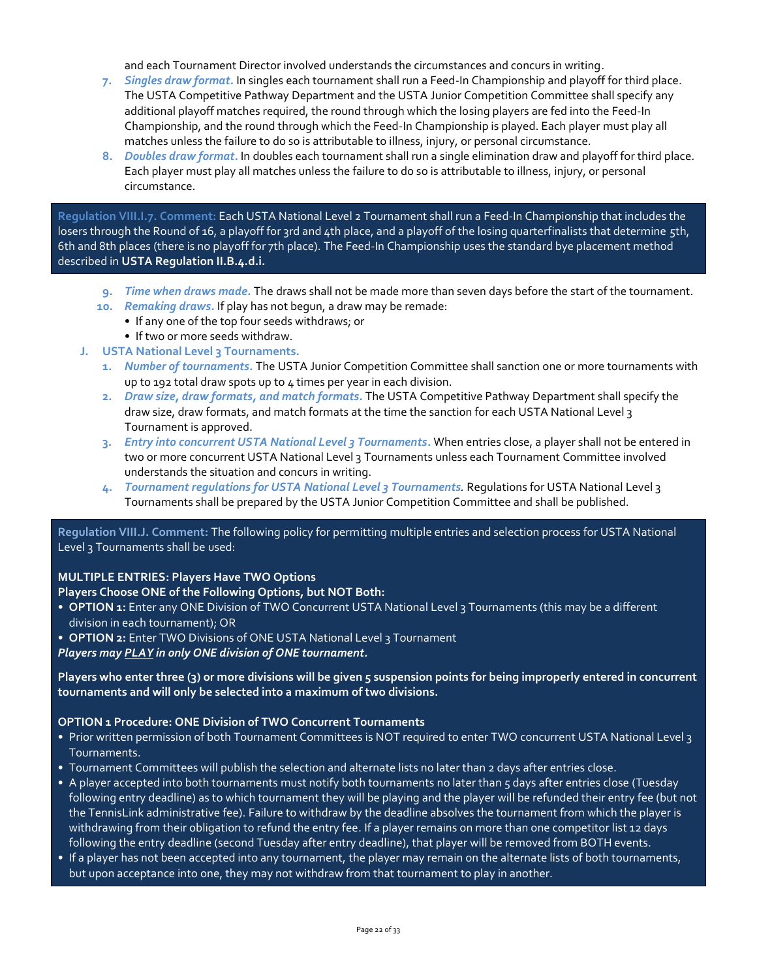and each Tournament Director involved understands the circumstances and concurs in writing.

- **7.** *Singles draw format.* In singles each tournament shall run a Feed-In Championship and playoff for third place. The USTA Competitive Pathway Department and the USTA Junior Competition Committee shall specify any additional playoff matches required, the round through which the losing players are fed into the Feed-In Championship, and the round through which the Feed-In Championship is played. Each player must play all matches unless the failure to do so is attributable to illness, injury, or personal circumstance.
- **8.** *Doubles draw format***.** In doubles each tournament shall run a single elimination draw and playoff for third place. Each player must play all matches unless the failure to do so is attributable to illness, injury, or personal circumstance.

**Regulation VIII.I.7. Comment:** Each USTA National Level 2 Tournament shall run a Feed-In Championship that includes the losers through the Round of 16, a playoff for 3rd and 4th place, and a playoff of the losing quarterfinalists that determine 5th, 6th and 8th places (there is no playoff for 7th place). The Feed-In Championship uses the standard bye placement method described in **USTA Regulation II.B.4.d.i.**

- **9.** *Time when draws made.* The draws shall not be made more than seven days before the start of the tournament.
- **10.** *Remaking draws.* If play has not begun, a draw may be remade:
	- If any one of the top four seeds withdraws; or
	- If two or more seeds withdraw.
- **J. USTA National Level 3 Tournaments.**
	- **1.** *Number of tournaments.* The USTA Junior Competition Committee shall sanction one or more tournaments with up to 192 total draw spots up to 4 times per year in each division.
	- **2.** *Draw size, draw formats, and match formats.* The USTA Competitive Pathway Department shall specify the draw size, draw formats, and match formats at the time the sanction for each USTA National Level 3 Tournament is approved.
	- **3.** *Entry into concurrent USTA National Level 3 Tournaments***.** When entries close, a player shall not be entered in two or more concurrent USTA National Level 3 Tournaments unless each Tournament Committee involved understands the situation and concurs in writing.
	- **4.** *Tournament regulations for USTA National Level 3 Tournaments.* Regulations for USTA National Level 3 Tournaments shall be prepared by the USTA Junior Competition Committee and shall be published.

**Regulation VIII.J. Comment:** The following policy for permitting multiple entries and selection process for USTA National Level 3 Tournaments shall be used:

# **MULTIPLE ENTRIES: Players Have TWO Options**

# **Players Choose ONE of the Following Options, but NOT Both:**

- **OPTION 1:** Enter any ONE Division of TWO Concurrent USTA National Level 3 Tournaments (this may be a different division in each tournament); OR
- **OPTION 2:** Enter TWO Divisions of ONE USTA National Level 3 Tournament

*Players may PLAY in only ONE division of ONE tournament.*

**Players who enter three (3) or more divisions will be given 5 suspension points for being improperly entered in concurrent tournaments and will only be selected into a maximum of two divisions.**

#### **OPTION 1 Procedure: ONE Division of TWO Concurrent Tournaments**

- Prior written permission of both Tournament Committees is NOT required to enter TWO concurrent USTA National Level 3 Tournaments.
- Tournament Committees will publish the selection and alternate lists no later than 2 days after entries close.
- A player accepted into both tournaments must notify both tournaments no later than 5 days after entries close (Tuesday following entry deadline) as to which tournament they will be playing and the player will be refunded their entry fee (but not the TennisLink administrative fee). Failure to withdraw by the deadline absolves the tournament from which the player is withdrawing from their obligation to refund the entry fee. If a player remains on more than one competitor list 12 days following the entry deadline (second Tuesday after entry deadline), that player will be removed from BOTH events.
- If a player has not been accepted into any tournament, the player may remain on the alternate lists of both tournaments, but upon acceptance into one, they may not withdraw from that tournament to play in another.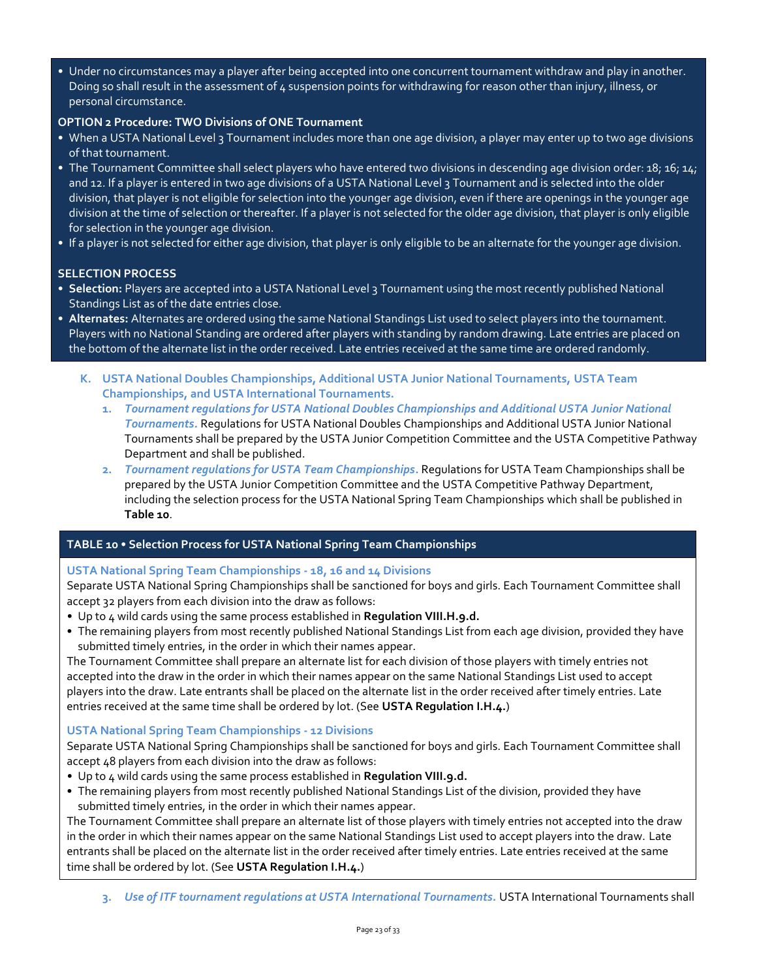• Under no circumstances may a player after being accepted into one concurrent tournament withdraw and play in another. Doing so shall result in the assessment of 4 suspension points for withdrawing for reason other than injury, illness, or personal circumstance.

# **OPTION 2 Procedure: TWO Divisions of ONE Tournament**

- When a USTA National Level 3 Tournament includes more than one age division, a player may enter up to two age divisions of that tournament.
- The Tournament Committee shall select players who have entered two divisions in descending age division order: 18; 16; 14; and 12. If a player is entered in two age divisions of a USTA National Level 3 Tournament and is selected into the older division, that player is not eligible for selection into the younger age division, even if there are openings in the younger age division at the time of selection or thereafter. If a player is not selected for the older age division, that player is only eligible for selection in the younger age division.
- If a player is not selected for either age division, that player is only eligible to be an alternate for the younger age division.

# **SELECTION PROCESS**

- **Selection:** Players are accepted into a USTA National Level 3 Tournament using the most recently published National Standings List as of the date entries close.
- **Alternates:** Alternates are ordered using the same National Standings List used to select players into the tournament. Players with no National Standing are ordered after players with standing by random drawing. Late entries are placed on the bottom of the alternate list in the order received. Late entries received at the same time are ordered randomly.
	- **K. USTA National Doubles Championships, Additional USTA Junior National Tournaments, USTA Team Championships, and USTA International Tournaments.**
		- **1.** *Tournament regulations for USTA National Doubles Championships and Additional USTA Junior National Tournaments.* Regulations for USTA National Doubles Championships and Additional USTA Junior National Tournaments shall be prepared by the USTA Junior Competition Committee and the USTA Competitive Pathway Department and shall be published.
		- **2.** *Tournament regulations for USTA Team Championships***.** Regulations for USTA Team Championships shall be prepared by the USTA Junior Competition Committee and the USTA Competitive Pathway Department, including the selection process for the USTA National Spring Team Championships which shall be published in **Table 10**.

# **TABLE 10 • Selection Process for USTA National Spring Team Championships**

# **USTA National Spring Team Championships - 18, 16 and 14 Divisions**

Separate USTA National Spring Championships shall be sanctioned for boys and girls. Each Tournament Committee shall accept 32 players from each division into the draw as follows:

- *•* Up to 4 wild cards using the same process established in **Regulation VIII.H.9.d.**
- The remaining players from most recently published National Standings List from each age division, provided they have submitted timely entries, in the order in which their names appear.

The Tournament Committee shall prepare an alternate list for each division of those players with timely entries not accepted into the draw in the order in which their names appear on the same National Standings List used to accept players into the draw. Late entrants shall be placed on the alternate list in the order received after timely entries. Late entries received at the same time shall be ordered by lot. (See **USTA Regulation I.H.4.**)

# **USTA National Spring Team Championships - 12 Divisions**

Separate USTA National Spring Championships shall be sanctioned for boys and girls. Each Tournament Committee shall accept 48 players from each division into the draw as follows:

- *•* Up to 4 wild cards using the same process established in **Regulation VIII.9.d.**
- The remaining players from most recently published National Standings List of the division, provided they have submitted timely entries, in the order in which their names appear.

The Tournament Committee shall prepare an alternate list of those players with timely entries not accepted into the draw in the order in which their names appear on the same National Standings List used to accept players into the draw. Late entrants shall be placed on the alternate list in the order received after timely entries. Late entries received at the same time shall be ordered by lot. (See **USTA Regulation I.H.4.**)

**3.** *Use of ITF tournament regulations at USTA International Tournaments.* USTA International Tournaments shall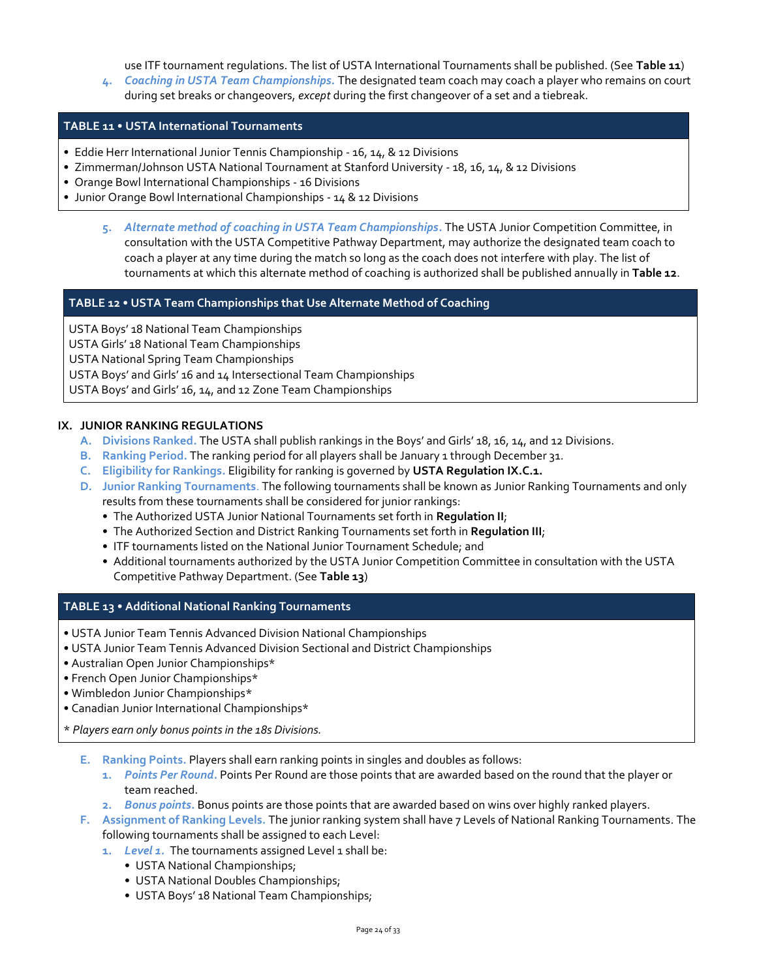use ITF tournament regulations. The list of USTA International Tournaments shall be published. (See **Table 11**) **4.** *Coaching in USTA Team Championships.* The designated team coach may coach a player who remains on court

during set breaks or changeovers, *except* during the first changeover of a set and a tiebreak.

# **TABLE 11 • USTA International Tournaments**

- Eddie Herr International Junior Tennis Championship 16, 14, & 12 Divisions
- Zimmerman/Johnson USTA National Tournament at Stanford University 18, 16, 14, & 12 Divisions
- Orange Bowl International Championships 16 Divisions
- Junior Orange Bowl International Championships 14 & 12 Divisions
	- **5.** *Alternate method of coaching in USTA Team Championships***.** The USTA Junior Competition Committee, in consultation with the USTA Competitive Pathway Department, may authorize the designated team coach to coach a player at any time during the match so long as the coach does not interfere with play. The list of tournaments at which this alternate method of coaching is authorized shall be published annually in **Table 12**.

# **TABLE 12 • USTA Team Championships that Use Alternate Method of Coaching**

USTA Boys' 18 National Team Championships USTA Girls' 18 National Team Championships USTA National Spring Team Championships USTA Boys' and Girls' 16 and 14 Intersectional Team Championships USTA Boys' and Girls' 16, 14, and 12 Zone Team Championships

#### **IX. JUNIOR RANKING REGULATIONS**

- **A. Divisions Ranked.** The USTA shall publish rankings in the Boys' and Girls' 18, 16, 14, and 12 Divisions.
- **B. Ranking Period.** The ranking period for all players shall be January 1 through December 31.
- **C. Eligibility for Rankings.** Eligibility for ranking is governed by **USTA Regulation IX.C.1.**
- **D. Junior Ranking Tournaments**. The following tournaments shall be known as Junior Ranking Tournaments and only results from these tournaments shall be considered for junior rankings:
	- The Authorized USTA Junior National Tournaments set forth in **Regulation II**;
	- The Authorized Section and District Ranking Tournaments set forth in **Regulation III**;
	- ITF tournaments listed on the National Junior Tournament Schedule; and
	- Additional tournaments authorized by the USTA Junior Competition Committee in consultation with the USTA Competitive Pathway Department. (See **Table 13**)

#### **TABLE 13 • Additional National Ranking Tournaments**

- USTA Junior Team Tennis Advanced Division National Championships
- USTA Junior Team Tennis Advanced Division Sectional and District Championships
- Australian Open Junior Championships\*
- French Open Junior Championships\*
- Wimbledon Junior Championships\*
- Canadian Junior International Championships\*

\* *Players earn only bonus points in the 18s Divisions.*

- **E. Ranking Points.** Players shall earn ranking points in singles and doubles as follows:
	- **1.** *Points Per Round***.** Points Per Round are those points that are awarded based on the round that the player or team reached.
	- **2.** *Bonus points***.** Bonus points are those points that are awarded based on wins over highly ranked players.
- **F. Assignment of Ranking Levels.** The junior ranking system shall have 7 Levels of National Ranking Tournaments. The following tournaments shall be assigned to each Level:
	- **1.** *Level 1.* The tournaments assigned Level 1 shall be:
		- USTA National Championships;
		- USTA National Doubles Championships;
		- USTA Boys' 18 National Team Championships;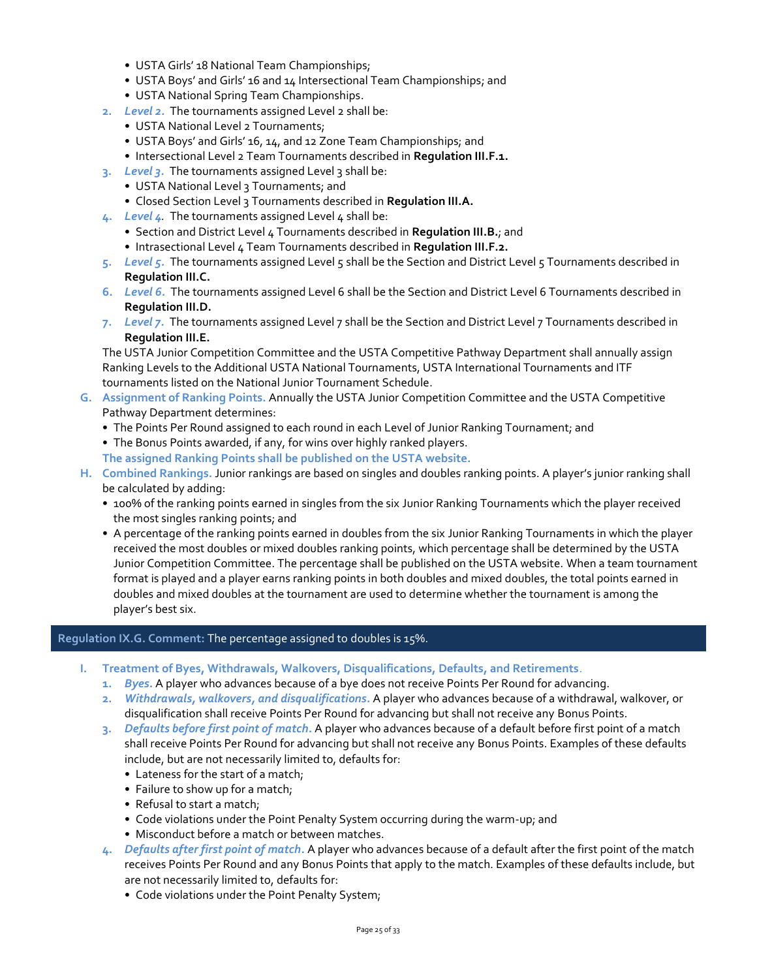- USTA Girls' 18 National Team Championships;
- USTA Boys' and Girls' 16 and 14 Intersectional Team Championships; and
- USTA National Spring Team Championships.
- **2.** *Level 2.* The tournaments assigned Level 2 shall be:
	- USTA National Level 2 Tournaments;
	- USTA Boys' and Girls' 16, 14, and 12 Zone Team Championships; and
	- Intersectional Level 2 Team Tournaments described in **Regulation III.F.1.**
- **3.** *Level 3.* The tournaments assigned Level 3 shall be:
	- USTA National Level 3 Tournaments; and
	- Closed Section Level 3 Tournaments described in **Regulation III.A.**
- **4.** *Level 4.* The tournaments assigned Level 4 shall be:
	- Section and District Level 4 Tournaments described in **Regulation III.B.**; and
	- Intrasectional Level 4 Team Tournaments described in **Regulation III.F.2.**
- **5.** *Level 5.* The tournaments assigned Level 5 shall be the Section and District Level 5 Tournaments described in **Regulation III.C.**
- **6.** *Level 6.* The tournaments assigned Level 6 shall be the Section and District Level 6 Tournaments described in **Regulation III.D.**
- **7.** *Level 7.* The tournaments assigned Level 7 shall be the Section and District Level 7 Tournaments described in **Regulation III.E.**

The USTA Junior Competition Committee and the USTA Competitive Pathway Department shall annually assign Ranking Levels to the Additional USTA National Tournaments, USTA International Tournaments and ITF tournaments listed on the National Junior Tournament Schedule.

- **G. Assignment of Ranking Points.** Annually the USTA Junior Competition Committee and the USTA Competitive Pathway Department determines:
	- The Points Per Round assigned to each round in each Level of Junior Ranking Tournament; and
	- The Bonus Points awarded, if any, for wins over highly ranked players.

**The assigned Ranking Points shall be published on the USTA website.**

- **H. Combined Rankings.** Junior rankings are based on singles and doubles ranking points. A player's junior ranking shall be calculated by adding:
	- 100% of the ranking points earned in singles from the six Junior Ranking Tournaments which the player received the most singles ranking points; and
	- A percentage of the ranking points earned in doubles from the six Junior Ranking Tournaments in which the player received the most doubles or mixed doubles ranking points, which percentage shall be determined by the USTA Junior Competition Committee. The percentage shall be published on the USTA website. When a team tournament format is played and a player earns ranking points in both doubles and mixed doubles, the total points earned in doubles and mixed doubles at the tournament are used to determine whether the tournament is among the player's best six.

#### **Regulation IX.G. Comment:** The percentage assigned to doubles is 15%.

- **I. Treatment of Byes, Withdrawals, Walkovers, Disqualifications, Defaults, and Retirements**.
	- **1.** *Byes***.** A player who advances because of a bye does not receive Points Per Round for advancing.
	- **2.** *Withdrawals, walkovers, and disqualifications***.** A player who advances because of a withdrawal, walkover, or disqualification shall receive Points Per Round for advancing but shall not receive any Bonus Points.
	- **3.** *Defaults before first point of match***.** A player who advances because of a default before first point of a match shall receive Points Per Round for advancing but shall not receive any Bonus Points. Examples of these defaults include, but are not necessarily limited to, defaults for:
		- Lateness for the start of a match;
		- Failure to show up for a match;
		- Refusal to start a match;
		- Code violations under the Point Penalty System occurring during the warm-up; and
		- Misconduct before a match or between matches.
	- **4.** *Defaults after first point of match***.** A player who advances because of a default after the first point of the match receives Points Per Round and any Bonus Points that apply to the match. Examples of these defaults include, but are not necessarily limited to, defaults for:
		- Code violations under the Point Penalty System;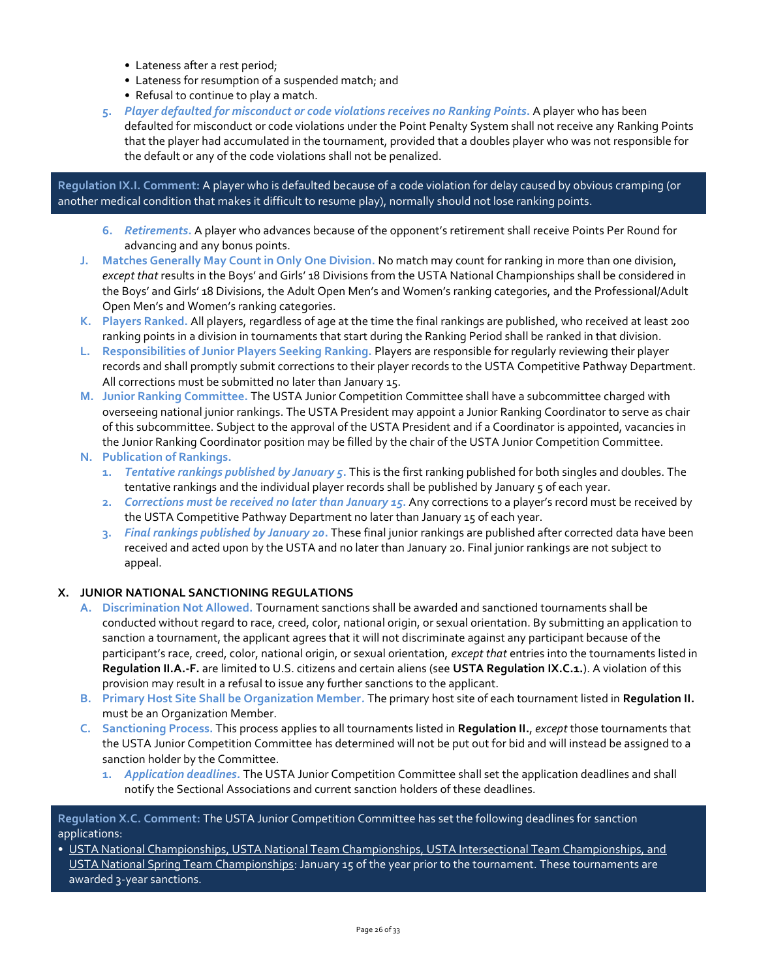- Lateness after a rest period;
- Lateness for resumption of a suspended match; and
- Refusal to continue to play a match.
- **5.** *Player defaulted for misconduct or code violations receives no Ranking Points***.** A player who has been defaulted for misconduct or code violations under the Point Penalty System shall not receive any Ranking Points that the player had accumulated in the tournament, provided that a doubles player who was not responsible for the default or any of the code violations shall not be penalized.

**Regulation IX.I. Comment:** A player who is defaulted because of a code violation for delay caused by obvious cramping (or another medical condition that makes it difficult to resume play), normally should not lose ranking points.

- **6.** *Retirements***.** A player who advances because of the opponent's retirement shall receive Points Per Round for advancing and any bonus points.
- **J. Matches Generally May Count in Only One Division.** No match may count for ranking in more than one division, *except that* results in the Boys' and Girls' 18 Divisions from the USTA National Championships shall be considered in the Boys' and Girls' 18 Divisions, the Adult Open Men's and Women's ranking categories, and the Professional/Adult Open Men's and Women's ranking categories.
- **K. Players Ranked.** All players, regardless of age at the time the final rankings are published, who received at least 200 ranking points in a division in tournaments that start during the Ranking Period shall be ranked in that division.
- **L. Responsibilities of Junior Players Seeking Ranking.** Players are responsible for regularly reviewing their player records and shall promptly submit corrections to their player records to the USTA Competitive Pathway Department. All corrections must be submitted no later than January 15.
- **M. Junior Ranking Committee.** The USTA Junior Competition Committee shall have a subcommittee charged with overseeing national junior rankings. The USTA President may appoint a Junior Ranking Coordinator to serve as chair of this subcommittee. Subject to the approval of the USTA President and if a Coordinator is appointed, vacancies in the Junior Ranking Coordinator position may be filled by the chair of the USTA Junior Competition Committee.
- **N. Publication of Rankings.**
	- **1.** *Tentative rankings published by January 5***.** This is the first ranking published for both singles and doubles. The tentative rankings and the individual player records shall be published by January 5 of each year.
	- **2.** *Corrections must be received no later than January 15***.** Any corrections to a player's record must be received by the USTA Competitive Pathway Department no later than January 15 of each year.
	- **3.** *Final rankings published by January 20***.** These final junior rankings are published after corrected data have been received and acted upon by the USTA and no later than January 20. Final junior rankings are not subject to appeal.

# **X. JUNIOR NATIONAL SANCTIONING REGULATIONS**

- **A. Discrimination Not Allowed.** Tournament sanctions shall be awarded and sanctioned tournaments shall be conducted without regard to race, creed, color, national origin, or sexual orientation. By submitting an application to sanction a tournament, the applicant agrees that it will not discriminate against any participant because of the participant's race, creed, color, national origin, or sexual orientation, *except that* entries into the tournaments listed in **Regulation II.A.-F.** are limited to U.S. citizens and certain aliens (see **USTA Regulation IX.C.1.**). A violation of this provision may result in a refusal to issue any further sanctions to the applicant.
- **B. Primary Host Site Shall be Organization Member***.* The primary host site of each tournament listed in **Regulation II.** must be an Organization Member.
- **C. Sanctioning Process.** This process applies to all tournaments listed in **Regulation II.**, *except* those tournaments that the USTA Junior Competition Committee has determined will not be put out for bid and will instead be assigned to a sanction holder by the Committee.
	- **1.** *Application deadlines.* The USTA Junior Competition Committee shall set the application deadlines and shall notify the Sectional Associations and current sanction holders of these deadlines.

**Regulation X.C. Comment:** The USTA Junior Competition Committee has set the following deadlines for sanction applications:

• USTA National Championships, USTA National Team Championships, USTA Intersectional Team Championships, and USTA National Spring Team Championships: January 15 of the year prior to the tournament. These tournaments are awarded 3-year sanctions.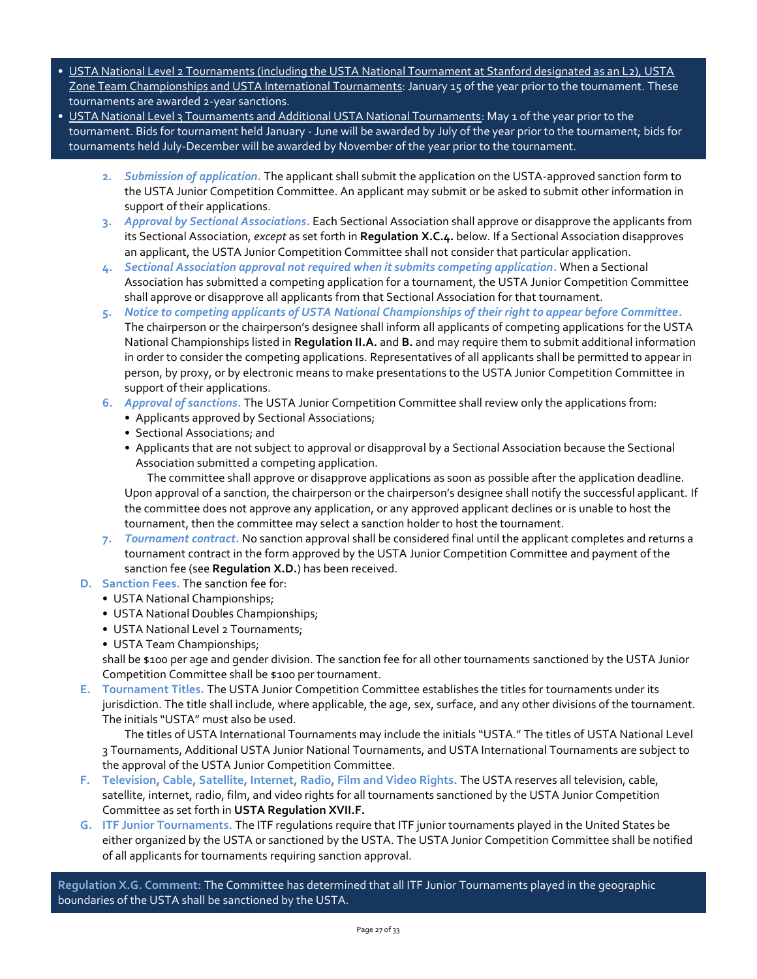- USTA National Level 2 Tournaments (including the USTA National Tournament at Stanford designated as an L2), USTA Zone Team Championships and USTA International Tournaments: January 15 of the year prior to the tournament. These tournaments are awarded 2-year sanctions.
- USTA National Level 3 Tournaments and Additional USTA National Tournaments: May 1 of the year prior to the tournament. Bids for tournament held January - June will be awarded by July of the year prior to the tournament; bids for tournaments held July-December will be awarded by November of the year prior to the tournament.
	- **2.** *Submission of application.* The applicant shall submit the application on the USTA-approved sanction form to the USTA Junior Competition Committee. An applicant may submit or be asked to submit other information in support of their applications.
	- **3.** *Approval by Sectional Associations.* Each Sectional Association shall approve or disapprove the applicants from its Sectional Association, *except* as set forth in **Regulation X.C.4.** below. If a Sectional Association disapproves an applicant, the USTA Junior Competition Committee shall not consider that particular application.
	- **4.** *Sectional Association approval not required when it submits competing application.* When a Sectional Association has submitted a competing application for a tournament, the USTA Junior Competition Committee shall approve or disapprove all applicants from that Sectional Association for that tournament.
	- **5.** *Notice to competing applicants of USTA National Championships of their right to appear before Committee.*  The chairperson or the chairperson's designee shall inform all applicants of competing applications for the USTA National Championships listed in **Regulation II.A.** and **B.** and may require them to submit additional information in order to consider the competing applications. Representatives of all applicants shall be permitted to appear in person, by proxy, or by electronic means to make presentations to the USTA Junior Competition Committee in support of their applications.
	- **6.** *Approval of sanctions.* The USTA Junior Competition Committee shall review only the applications from:
		- Applicants approved by Sectional Associations;
		- Sectional Associations; and
		- Applicants that are not subject to approval or disapproval by a Sectional Association because the Sectional Association submitted a competing application.

The committee shall approve or disapprove applications as soon as possible after the application deadline. Upon approval of a sanction, the chairperson or the chairperson's designee shall notify the successful applicant. If the committee does not approve any application, or any approved applicant declines or is unable to host the tournament, then the committee may select a sanction holder to host the tournament.

- **7.** *Tournament contract.* No sanction approval shall be considered final until the applicant completes and returns a tournament contract in the form approved by the USTA Junior Competition Committee and payment of the sanction fee (see **Regulation X.D.**) has been received.
- **D. Sanction Fees***.* The sanction fee for:
	- USTA National Championships;
	- USTA National Doubles Championships;
	- USTA National Level 2 Tournaments;
	- USTA Team Championships;

shall be \$100 per age and gender division. The sanction fee for all other tournaments sanctioned by the USTA Junior Competition Committee shall be \$100 per tournament.

**E. Tournament Titles.** The USTA Junior Competition Committee establishes the titles for tournaments under its jurisdiction. The title shall include, where applicable, the age, sex, surface, and any other divisions of the tournament. The initials "USTA" must also be used.

The titles of USTA International Tournaments may include the initials "USTA." The titles of USTA National Level 3 Tournaments, Additional USTA Junior National Tournaments, and USTA International Tournaments are subject to the approval of the USTA Junior Competition Committee.

- **F. Television, Cable, Satellite, Internet, Radio, Film and Video Rights.** The USTA reserves all television, cable, satellite, internet, radio, film, and video rights for all tournaments sanctioned by the USTA Junior Competition Committee as set forth in **USTA Regulation XVII.F.**
- **G. ITF Junior Tournaments.** The ITF regulations require that ITF junior tournaments played in the United States be either organized by the USTA or sanctioned by the USTA. The USTA Junior Competition Committee shall be notified of all applicants for tournaments requiring sanction approval.

**Regulation X.G. Comment:** The Committee has determined that all ITF Junior Tournaments played in the geographic boundaries of the USTA shall be sanctioned by the USTA.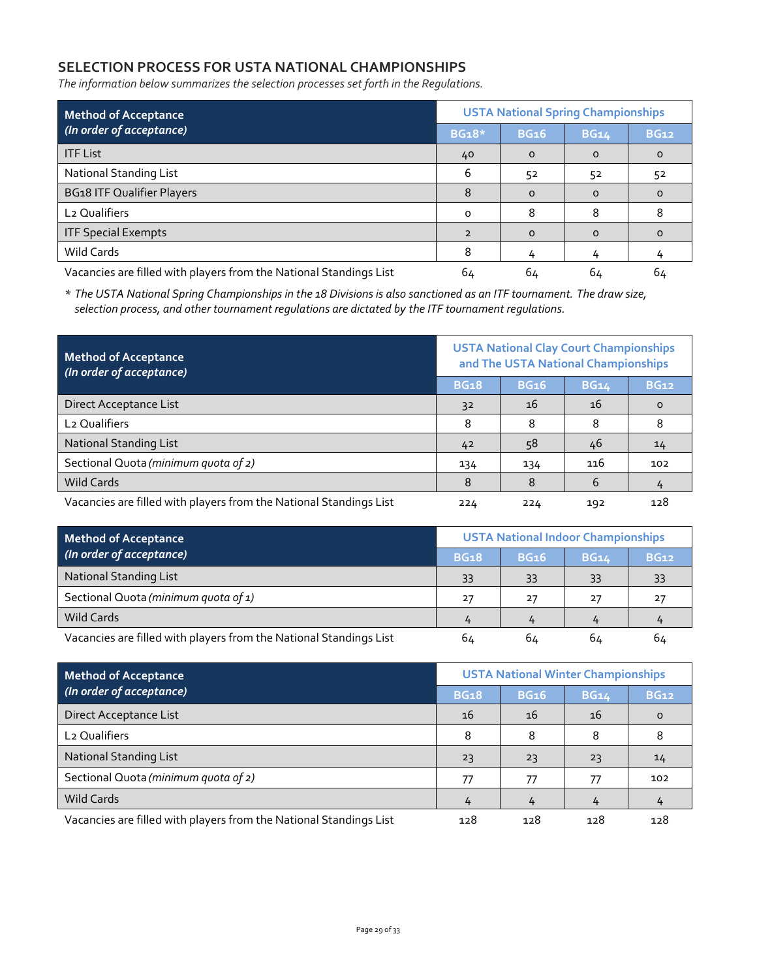# **SELECTION PROCESS FOR USTA NATIONAL CHAMPIONSHIPS**

*The information below summarizes the selection processes set forth in the Regulations.*

| <b>Method of Acceptance</b><br>(In order of acceptance)            |                | <b>USTA National Spring Championships</b> |             |             |  |  |  |
|--------------------------------------------------------------------|----------------|-------------------------------------------|-------------|-------------|--|--|--|
|                                                                    |                | <b>BG16</b>                               | <b>BG14</b> | <b>BG12</b> |  |  |  |
| <b>ITF List</b>                                                    | 40             | $\Omega$                                  | $\Omega$    | $\Omega$    |  |  |  |
| National Standing List                                             | 6              | 52                                        | 52          | 52          |  |  |  |
| <b>BG18 ITF Qualifier Players</b>                                  | 8              | $\Omega$                                  | $\Omega$    |             |  |  |  |
| L <sub>2</sub> Qualifiers                                          | $\Omega$       | 8                                         | 8           |             |  |  |  |
| <b>ITF Special Exempts</b>                                         | $\overline{2}$ | $\Omega$                                  | $\Omega$    |             |  |  |  |
| Wild Cards                                                         | 8              |                                           |             |             |  |  |  |
| Vacancies are filled with players from the National Standings List | 64             | 64                                        | 64          | 64          |  |  |  |

*\* The USTA National Spring Championships in the 18 Divisions is also sanctioned as an ITF tournament. The draw size, selection process, and other tournament regulations are dictated by the ITF tournament regulations.*

| <b>Method of Acceptance</b><br>(In order of acceptance)            | <b>USTA National Clay Court Championships</b><br>and The USTA National Championships |             |             |             |
|--------------------------------------------------------------------|--------------------------------------------------------------------------------------|-------------|-------------|-------------|
|                                                                    | <b>BG18</b>                                                                          | <b>BG16</b> | <b>BG14</b> | <b>BG12</b> |
| Direct Acceptance List                                             | 3 <sup>2</sup>                                                                       | 16          | 16          | $\Omega$    |
| L <sub>2</sub> Qualifiers                                          | 8                                                                                    | 8           | 8           | 8           |
| <b>National Standing List</b>                                      | 42                                                                                   | 58          | 46          | 14          |
| Sectional Quota (minimum quota of 2)                               | 134                                                                                  | 134         | 116         | 102         |
| Wild Cards                                                         | 8                                                                                    | 8           | 6           | 4           |
| Vacancies are filled with players from the National Standings List |                                                                                      | 224         | 192         | 128         |

| <b>Method of Acceptance</b>                                        | <b>USTA National Indoor Championships</b> |             |             |             |
|--------------------------------------------------------------------|-------------------------------------------|-------------|-------------|-------------|
| (In order of acceptance)                                           |                                           | <b>BG16</b> | <b>BG14</b> | <b>BG12</b> |
| <b>National Standing List</b>                                      | 33                                        | 33          | 33          | 33          |
| Sectional Quota (minimum quota of 1)                               | 27                                        | 27          | 27          | -27         |
| Wild Cards                                                         |                                           |             |             |             |
| Vacancies are filled with players from the National Standings List | 64                                        | 64          | 64          | 64          |

| <b>Method of Acceptance</b><br>(In order of acceptance)            |     | <b>USTA National Winter Championships</b> |             |             |  |
|--------------------------------------------------------------------|-----|-------------------------------------------|-------------|-------------|--|
|                                                                    |     | <b>BG16</b>                               | <b>BG14</b> | <b>BG12</b> |  |
| Direct Acceptance List                                             | 16  | 16                                        | 16          |             |  |
| L <sub>2</sub> Qualifiers                                          | 8   | 8                                         |             |             |  |
| <b>National Standing List</b>                                      | 23  | 23                                        | 23          | 14          |  |
| Sectional Quota (minimum quota of 2)                               | 77  | 77                                        | 77          | 102         |  |
| Wild Cards                                                         |     |                                           |             |             |  |
| Vacancies are filled with players from the National Standings List | 128 | 128                                       | 128         | 128         |  |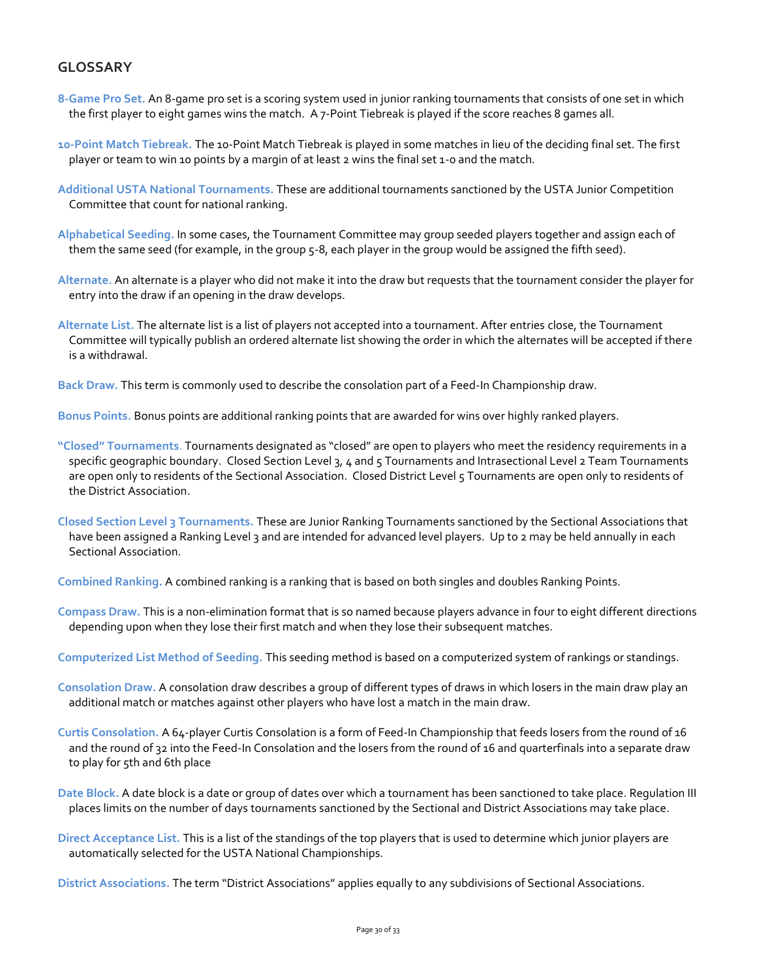# **GLOSSARY**

- **8-Game Pro Set.** An 8-game pro set is a scoring system used in junior ranking tournaments that consists of one set in which the first player to eight games wins the match. A 7-Point Tiebreak is played if the score reaches 8 games all.
- **10-Point Match Tiebreak.** The 10-Point Match Tiebreak is played in some matches in lieu of the deciding final set. The first player or team to win 10 points by a margin of at least 2 wins the final set 1-0 and the match.
- **Additional USTA National Tournaments.** These are additional tournaments sanctioned by the USTA Junior Competition Committee that count for national ranking.
- **Alphabetical Seeding.** In some cases, the Tournament Committee may group seeded players together and assign each of them the same seed (for example, in the group 5-8, each player in the group would be assigned the fifth seed).
- **Alternate.** An alternate is a player who did not make it into the draw but requests that the tournament consider the player for entry into the draw if an opening in the draw develops.
- **Alternate List.** The alternate list is a list of players not accepted into a tournament. After entries close, the Tournament Committee will typically publish an ordered alternate list showing the order in which the alternates will be accepted if there is a withdrawal.

**Back Draw.** This term is commonly used to describe the consolation part of a Feed-In Championship draw.

**Bonus Points.** Bonus points are additional ranking points that are awarded for wins over highly ranked players.

- **"Closed" Tournaments**. Tournaments designated as "closed" are open to players who meet the residency requirements in a specific geographic boundary. Closed Section Level 3, 4 and 5 Tournaments and Intrasectional Level 2 Team Tournaments are open only to residents of the Sectional Association. Closed District Level 5 Tournaments are open only to residents of the District Association.
- **Closed Section Level 3 Tournaments.** These are Junior Ranking Tournaments sanctioned by the Sectional Associations that have been assigned a Ranking Level 3 and are intended for advanced level players. Up to 2 may be held annually in each Sectional Association.

**Combined Ranking.** A combined ranking is a ranking that is based on both singles and doubles Ranking Points.

- **Compass Draw.** This is a non-elimination format that is so named because players advance in four to eight different directions depending upon when they lose their first match and when they lose their subsequent matches.
- **Computerized List Method of Seeding.** This seeding method is based on a computerized system of rankings or standings.
- **Consolation Draw.** A consolation draw describes a group of different types of draws in which losers in the main draw play an additional match or matches against other players who have lost a match in the main draw.
- **Curtis Consolation.** A 64-player Curtis Consolation is a form of Feed-In Championship that feeds losers from the round of 16 and the round of 32 into the Feed-In Consolation and the losers from the round of 16 and quarterfinals into a separate draw to play for 5th and 6th place
- **Date Block.** A date block is a date or group of dates over which a tournament has been sanctioned to take place. Regulation III places limits on the number of days tournaments sanctioned by the Sectional and District Associations may take place.
- **Direct Acceptance List.** This is a list of the standings of the top players that is used to determine which junior players are automatically selected for the USTA National Championships.

**District Associations.** The term "District Associations" applies equally to any subdivisions of Sectional Associations.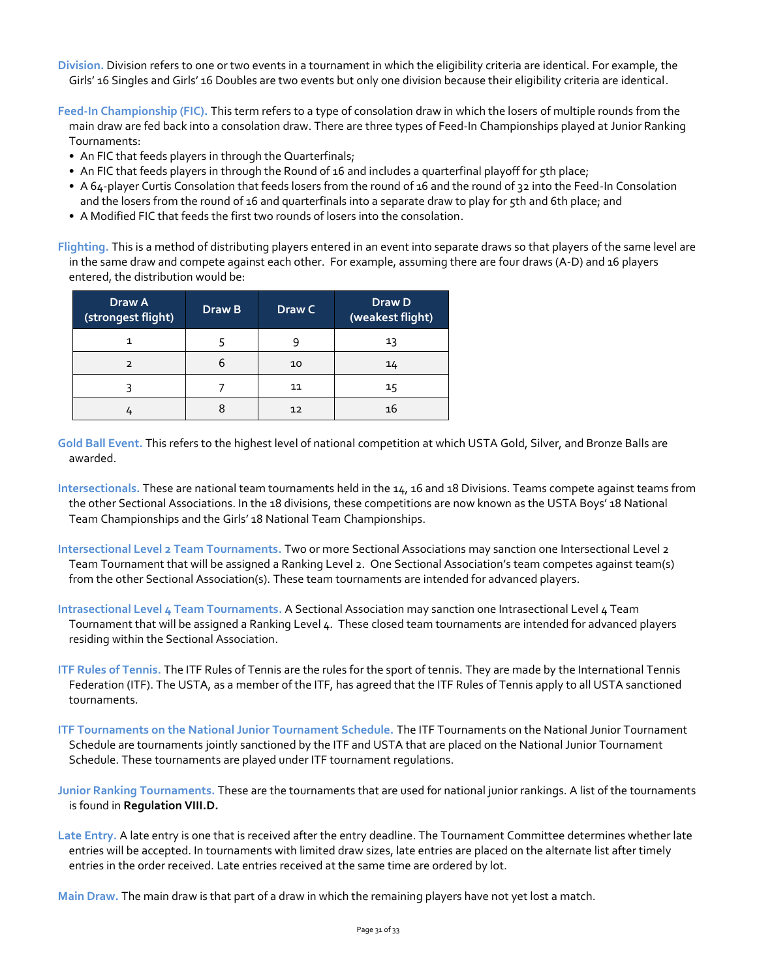**Division.** Division refers to one or two events in a tournament in which the eligibility criteria are identical. For example, the Girls' 16 Singles and Girls' 16 Doubles are two events but only one division because their eligibility criteria are identical.

**Feed-In Championship (FIC).** This term refers to a type of consolation draw in which the losers of multiple rounds from the main draw are fed back into a consolation draw. There are three types of Feed-In Championships played at Junior Ranking Tournaments:

- An FIC that feeds players in through the Quarterfinals;
- An FIC that feeds players in through the Round of 16 and includes a quarterfinal playoff for 5th place;
- A 64-player Curtis Consolation that feeds losers from the round of 16 and the round of 32 into the Feed-In Consolation and the losers from the round of 16 and quarterfinals into a separate draw to play for 5th and 6th place; and
- A Modified FIC that feeds the first two rounds of losers into the consolation.

**Flighting.** This is a method of distributing players entered in an event into separate draws so that players of the same level are in the same draw and compete against each other. For example, assuming there are four draws (A-D) and 16 players entered, the distribution would be:

| Draw A<br>(strongest flight) | Draw B | Draw C | Draw D<br>(weakest flight) |
|------------------------------|--------|--------|----------------------------|
|                              |        |        | 13                         |
| $\mathcal{P}$                |        | 10     | 14                         |
|                              |        | 11     | 15                         |
|                              |        | 12     | 16                         |

- **Gold Ball Event.** This refers to the highest level of national competition at which USTA Gold, Silver, and Bronze Balls are awarded.
- **Intersectionals.** These are national team tournaments held in the 14, 16 and 18 Divisions. Teams compete against teams from the other Sectional Associations. In the 18 divisions, these competitions are now known as the USTA Boys' 18 National Team Championships and the Girls' 18 National Team Championships.
- **Intersectional Level 2 Team Tournaments.** Two or more Sectional Associations may sanction one Intersectional Level 2 Team Tournament that will be assigned a Ranking Level 2. One Sectional Association's team competes against team(s) from the other Sectional Association(s). These team tournaments are intended for advanced players.
- **Intrasectional Level 4 Team Tournaments.** A Sectional Association may sanction one Intrasectional Level 4 Team Tournament that will be assigned a Ranking Level 4. These closed team tournaments are intended for advanced players residing within the Sectional Association.
- **ITF Rules of Tennis.** The ITF Rules of Tennis are the rules for the sport of tennis. They are made by the International Tennis Federation (ITF). The USTA, as a member of the ITF, has agreed that the ITF Rules of Tennis apply to all USTA sanctioned tournaments.
- **ITF Tournaments on the National Junior Tournament Schedule.** The ITF Tournaments on the National Junior Tournament Schedule are tournaments jointly sanctioned by the ITF and USTA that are placed on the National Junior Tournament Schedule. These tournaments are played under ITF tournament regulations.
- **Junior Ranking Tournaments.** These are the tournaments that are used for national junior rankings. A list of the tournaments is found in **Regulation VIII.D.**
- **Late Entry.** A late entry is one that is received after the entry deadline. The Tournament Committee determines whether late entries will be accepted. In tournaments with limited draw sizes, late entries are placed on the alternate list after timely entries in the order received. Late entries received at the same time are ordered by lot.

**Main Draw.** The main draw is that part of a draw in which the remaining players have not yet lost a match.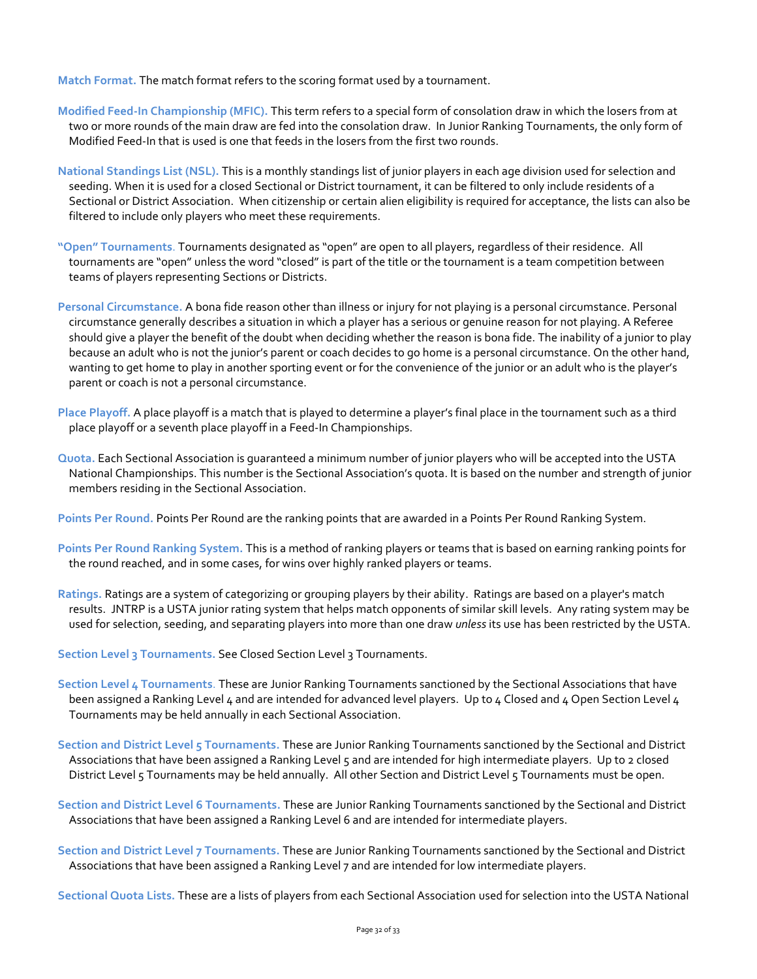**Match Format.** The match format refers to the scoring format used by a tournament.

- **Modified Feed-In Championship (MFIC).** This term refers to a special form of consolation draw in which the losers from at two or more rounds of the main draw are fed into the consolation draw. In Junior Ranking Tournaments, the only form of Modified Feed-In that is used is one that feeds in the losers from the first two rounds.
- **National Standings List (NSL).** This is a monthly standings list of junior players in each age division used for selection and seeding. When it is used for a closed Sectional or District tournament, it can be filtered to only include residents of a Sectional or District Association. When citizenship or certain alien eligibility is required for acceptance, the lists can also be filtered to include only players who meet these requirements.
- **"Open" Tournaments**. Tournaments designated as "open" are open to all players, regardless of their residence. All tournaments are "open" unless the word "closed" is part of the title or the tournament is a team competition between teams of players representing Sections or Districts.
- **Personal Circumstance.** A bona fide reason other than illness or injury for not playing is a personal circumstance. Personal circumstance generally describes a situation in which a player has a serious or genuine reason for not playing. A Referee should give a player the benefit of the doubt when deciding whether the reason is bona fide. The inability of a junior to play because an adult who is not the junior's parent or coach decides to go home is a personal circumstance. On the other hand, wanting to get home to play in another sporting event or for the convenience of the junior or an adult who is the player's parent or coach is not a personal circumstance.
- **Place Playoff.** A place playoff is a match that is played to determine a player's final place in the tournament such as a third place playoff or a seventh place playoff in a Feed-In Championships.
- **Quota.** Each Sectional Association is guaranteed a minimum number of junior players who will be accepted into the USTA National Championships. This number is the Sectional Association's quota. It is based on the number and strength of junior members residing in the Sectional Association.

**Points Per Round.** Points Per Round are the ranking points that are awarded in a Points Per Round Ranking System.

- **Points Per Round Ranking System.** This is a method of ranking players or teams that is based on earning ranking points for the round reached, and in some cases, for wins over highly ranked players or teams.
- **Ratings.** Ratings are a system of categorizing or grouping players by their ability. Ratings are based on a player's match results. JNTRP is a USTA junior rating system that helps match opponents of similar skill levels. Any rating system may be used for selection, seeding, and separating players into more than one draw *unless* its use has been restricted by the USTA.
- **Section Level 3 Tournaments.** See Closed Section Level 3 Tournaments.
- **Section Level 4 Tournaments**. These are Junior Ranking Tournaments sanctioned by the Sectional Associations that have been assigned a Ranking Level 4 and are intended for advanced level players. Up to 4 Closed and 4 Open Section Level 4 Tournaments may be held annually in each Sectional Association.
- **Section and District Level 5 Tournaments.** These are Junior Ranking Tournaments sanctioned by the Sectional and District Associations that have been assigned a Ranking Level 5 and are intended for high intermediate players. Up to 2 closed District Level 5 Tournaments may be held annually. All other Section and District Level 5 Tournaments must be open.
- **Section and District Level 6 Tournaments.** These are Junior Ranking Tournaments sanctioned by the Sectional and District Associations that have been assigned a Ranking Level 6 and are intended for intermediate players.
- **Section and District Level 7 Tournaments.** These are Junior Ranking Tournaments sanctioned by the Sectional and District Associations that have been assigned a Ranking Level 7 and are intended for low intermediate players.

**Sectional Quota Lists.** These are a lists of players from each Sectional Association used for selection into the USTA National